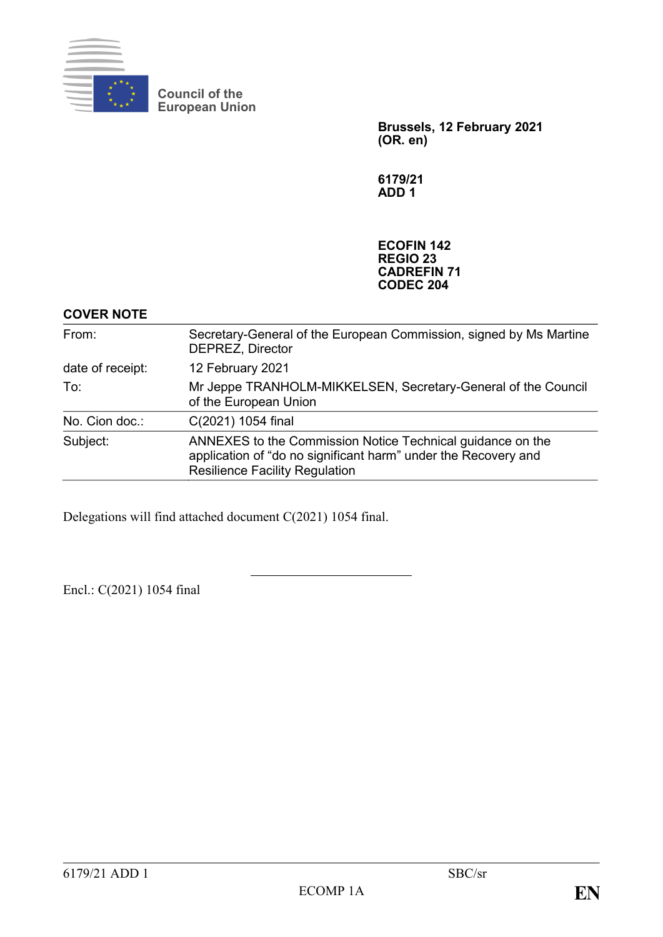

**Council of the European Union**

> **Brussels, 12 February 2021 (OR. en)**

**6179/21 ADD 1**

**ECOFIN 142 REGIO 23 CADREFIN 71 CODEC 204**

# **COVER NOTE**

| From:            | Secretary-General of the European Commission, signed by Ms Martine<br>DEPREZ, Director                                                                                |
|------------------|-----------------------------------------------------------------------------------------------------------------------------------------------------------------------|
| date of receipt: | 12 February 2021                                                                                                                                                      |
| To:              | Mr Jeppe TRANHOLM-MIKKELSEN, Secretary-General of the Council<br>of the European Union                                                                                |
| No. Cion doc.:   | C(2021) 1054 final                                                                                                                                                    |
| Subject:         | ANNEXES to the Commission Notice Technical guidance on the<br>application of "do no significant harm" under the Recovery and<br><b>Resilience Facility Regulation</b> |

Delegations will find attached document C(2021) 1054 final.

Encl.: C(2021) 1054 final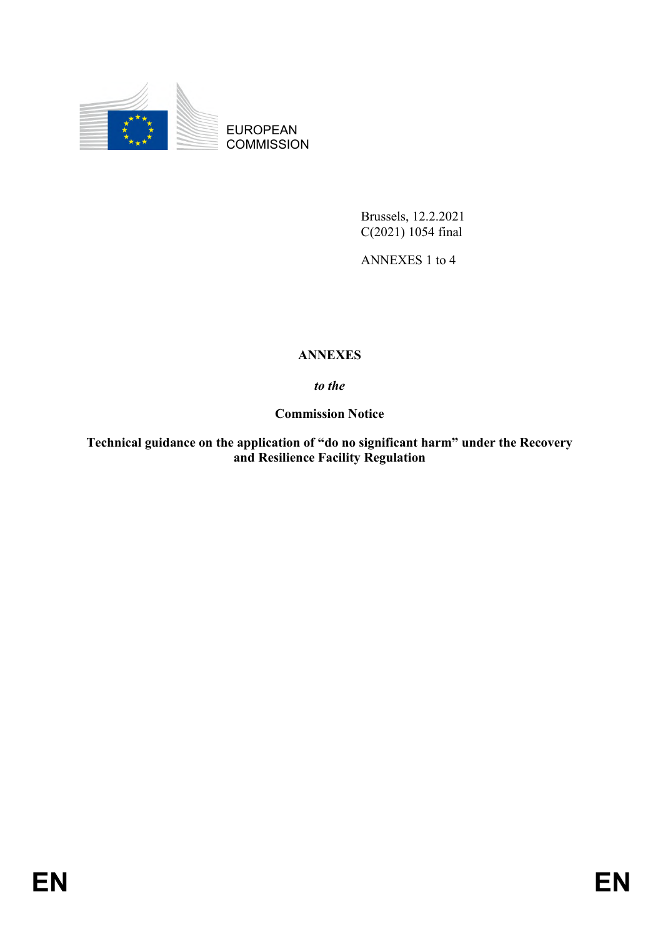

EUROPEAN **COMMISSION** 

> Brussels, 12.2.2021 C(2021) 1054 final

ANNEXES 1 to 4

# **ANNEXES**

*to the*

**Commission Notice**

**Technical guidance on the application of "do no significant harm" under the Recovery and Resilience Facility Regulation**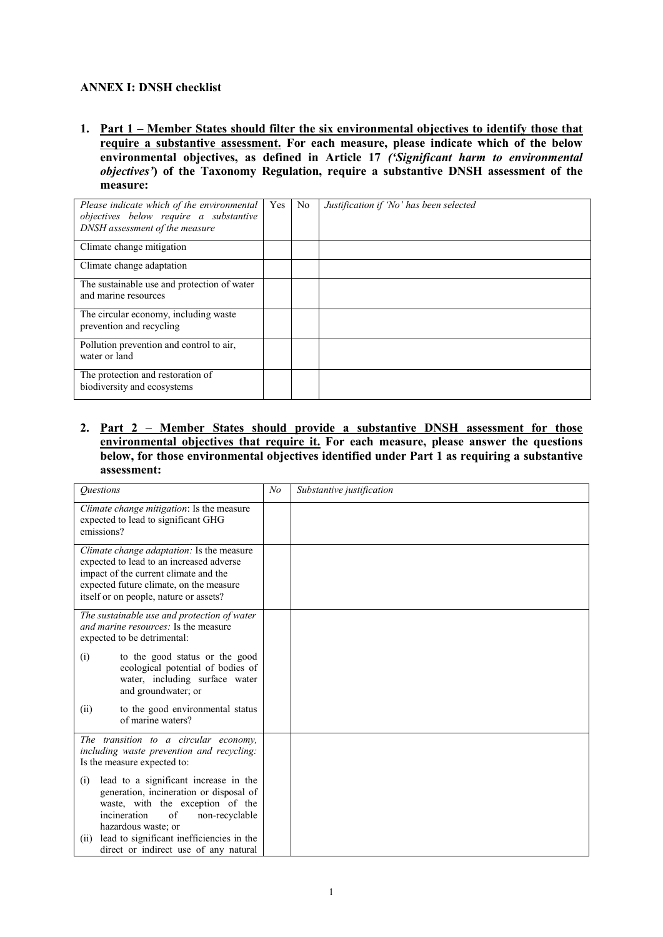#### **ANNEX I: DNSH checklist**

**1. Part 1 – Member States should filter the six environmental objectives to identify those that require a substantive assessment. For each measure, please indicate which of the below environmental objectives, as defined in Article 17** *('Significant harm to environmental objectives'***) of the Taxonomy Regulation, require a substantive DNSH assessment of the measure:**

| Please indicate which of the environmental<br>objectives below require a substantive<br>DNSH assessment of the measure | Yes | No. | Justification if 'No' has been selected |
|------------------------------------------------------------------------------------------------------------------------|-----|-----|-----------------------------------------|
| Climate change mitigation                                                                                              |     |     |                                         |
| Climate change adaptation                                                                                              |     |     |                                         |
| The sustainable use and protection of water<br>and marine resources                                                    |     |     |                                         |
| The circular economy, including waste<br>prevention and recycling                                                      |     |     |                                         |
| Pollution prevention and control to air,<br>water or land                                                              |     |     |                                         |
| The protection and restoration of<br>biodiversity and ecosystems                                                       |     |     |                                         |

**2. Part 2 – Member States should provide a substantive DNSH assessment for those environmental objectives that require it. For each measure, please answer the questions below, for those environmental objectives identified under Part 1 as requiring a substantive assessment:**

| <b>Ouestions</b>                                                                                                                                                                                                                                                                         | N <sub>o</sub> | Substantive justification |
|------------------------------------------------------------------------------------------------------------------------------------------------------------------------------------------------------------------------------------------------------------------------------------------|----------------|---------------------------|
| Climate change mitigation: Is the measure<br>expected to lead to significant GHG<br>emissions?                                                                                                                                                                                           |                |                           |
| <i>Climate change adaptation:</i> Is the measure<br>expected to lead to an increased adverse<br>impact of the current climate and the<br>expected future climate, on the measure<br>itself or on people, nature or assets?                                                               |                |                           |
| The sustainable use and protection of water<br>and marine resources: Is the measure<br>expected to be detrimental:                                                                                                                                                                       |                |                           |
| (i)<br>to the good status or the good<br>ecological potential of bodies of<br>water, including surface water<br>and groundwater; or                                                                                                                                                      |                |                           |
| to the good environmental status<br>(ii)<br>of marine waters?                                                                                                                                                                                                                            |                |                           |
| The transition to a circular economy,<br>including waste prevention and recycling:<br>Is the measure expected to:                                                                                                                                                                        |                |                           |
| lead to a significant increase in the<br>(i)<br>generation, incineration or disposal of<br>waste, with the exception of the<br>incineration<br>of<br>non-recyclable<br>hazardous waste; or<br>lead to significant inefficiencies in the<br>(11)<br>direct or indirect use of any natural |                |                           |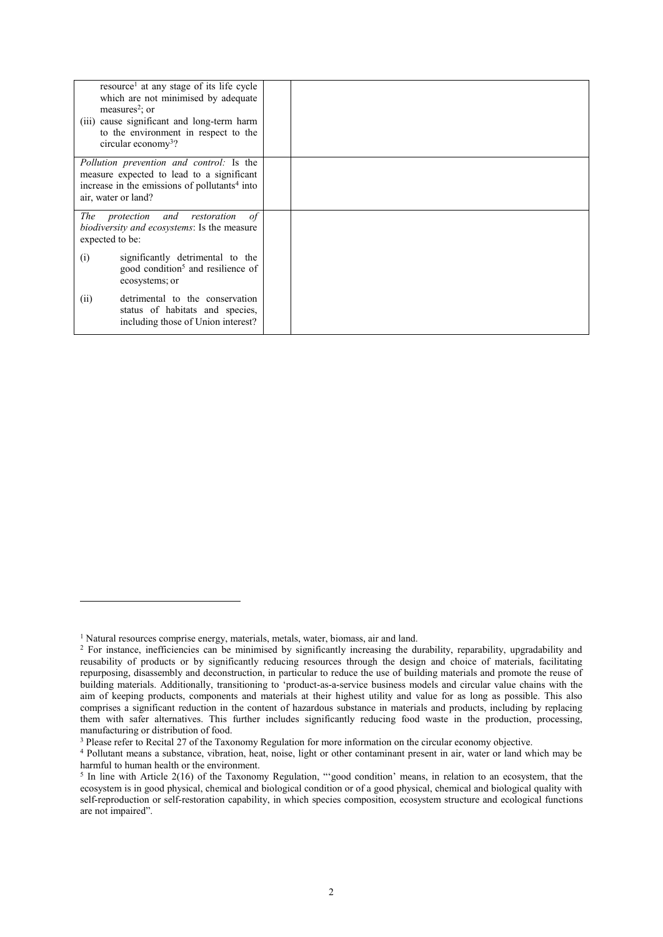|                                                                                                                                                                                  | resource <sup>1</sup> at any stage of its life cycle<br>which are not minimised by adequate<br>measures <sup>2</sup> ; or<br>(iii) cause significant and long-term harm<br>to the environment in respect to the<br>circular economy <sup>3</sup> ? |  |
|----------------------------------------------------------------------------------------------------------------------------------------------------------------------------------|----------------------------------------------------------------------------------------------------------------------------------------------------------------------------------------------------------------------------------------------------|--|
| <i>Pollution prevention and control:</i> Is the<br>measure expected to lead to a significant<br>increase in the emissions of pollutants <sup>4</sup> into<br>air, water or land? |                                                                                                                                                                                                                                                    |  |
| expected to be:                                                                                                                                                                  | The protection and restoration<br>0f<br><i>biodiversity and ecosystems:</i> Is the measure                                                                                                                                                         |  |
| (i)                                                                                                                                                                              | significantly detrimental to the<br>good condition <sup>5</sup> and resilience of<br>ecosystems; or                                                                                                                                                |  |
| (ii)                                                                                                                                                                             | detrimental to the conservation<br>status of habitats and species,<br>including those of Union interest?                                                                                                                                           |  |

<sup>&</sup>lt;sup>1</sup> Natural resources comprise energy, materials, metals, water, biomass, air and land.

<sup>&</sup>lt;sup>2</sup> For instance, inefficiencies can be minimised by significantly increasing the durability, reparability, upgradability and reusability of products or by significantly reducing resources through the design and choice of materials, facilitating repurposing, disassembly and deconstruction, in particular to reduce the use of building materials and promote the reuse of building materials. Additionally, transitioning to 'product-as-a-service business models and circular value chains with the aim of keeping products, components and materials at their highest utility and value for as long as possible. This also comprises a significant reduction in the content of hazardous substance in materials and products, including by replacing them with safer alternatives. This further includes significantly reducing food waste in the production, processing, manufacturing or distribution of food.

<sup>&</sup>lt;sup>3</sup> Please refer to Recital 27 of the Taxonomy Regulation for more information on the circular economy objective.

<sup>4</sup> Pollutant means a substance, vibration, heat, noise, light or other contaminant present in air, water or land which may be harmful to human health or the environment.

 $<sup>5</sup>$  In line with Article 2(16) of the Taxonomy Regulation, "'good condition' means, in relation to an ecosystem, that the</sup> ecosystem is in good physical, chemical and biological condition or of a good physical, chemical and biological quality with self-reproduction or self-restoration capability, in which species composition, ecosystem structure and ecological functions are not impaired".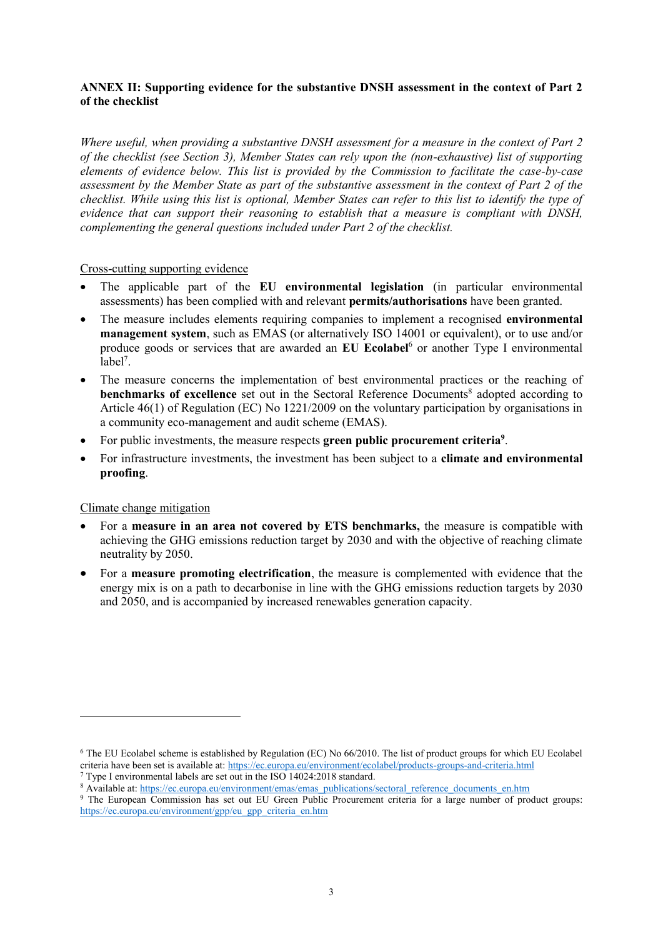#### **ANNEX II: Supporting evidence for the substantive DNSH assessment in the context of Part 2 of the checklist**

*Where useful, when providing a substantive DNSH assessment for a measure in the context of Part 2 of the checklist (see Section 3), Member States can rely upon the (non-exhaustive) list of supporting elements of evidence below. This list is provided by the Commission to facilitate the case-by-case assessment by the Member State as part of the substantive assessment in the context of Part 2 of the checklist. While using this list is optional, Member States can refer to this list to identify the type of evidence that can support their reasoning to establish that a measure is compliant with DNSH, complementing the general questions included under Part 2 of the checklist.* 

#### Cross-cutting supporting evidence

- The applicable part of the **EU environmental legislation** (in particular environmental assessments) has been complied with and relevant **permits/authorisations** have been granted.
- The measure includes elements requiring companies to implement a recognised **environmental management system**, such as EMAS (or alternatively ISO 14001 or equivalent), or to use and/or produce goods or services that are awarded an **EU Ecolabel**<sup>6</sup> or another Type I environmental label<sup>7</sup>.
- The measure concerns the implementation of best environmental practices or the reaching of **benchmarks of excellence** set out in the Sectoral Reference Documents<sup>8</sup> adopted according to Article 46(1) of Regulation (EC) No 1221/2009 on the voluntary participation by organisations in a community eco-management and audit scheme (EMAS).
- For public investments, the measure respects **green public procurement criteria<sup>9</sup>** .
- For infrastructure investments, the investment has been subject to a **climate and environmental proofing**.

#### Climate change mitigation

- For a **measure in an area not covered by ETS benchmarks,** the measure is compatible with achieving the GHG emissions reduction target by 2030 and with the objective of reaching climate neutrality by 2050.
- For a **measure promoting electrification**, the measure is complemented with evidence that the energy mix is on a path to decarbonise in line with the GHG emissions reduction targets by 2030 and 2050, and is accompanied by increased renewables generation capacity.

<sup>6</sup> The EU Ecolabel scheme is established by Regulation (EC) No 66/2010. The list of product groups for which EU Ecolabel criteria have been set is available at[: https://ec.europa.eu/environment/ecolabel/products-groups-and-criteria.html](https://ec.europa.eu/environment/ecolabel/products-groups-and-criteria.html)

<sup>7</sup> Type I environmental labels are set out in the ISO 14024:2018 standard.

<sup>&</sup>lt;sup>8</sup> Available at[: https://ec.europa.eu/environment/emas/emas\\_publications/sectoral\\_reference\\_documents\\_en.htm](https://ec.europa.eu/environment/emas/emas_publications/sectoral_reference_documents_en.htm) <sup>9</sup> The European Commission has set out EU Green Public Procurement criteria for a large number of product groups: [https://ec.europa.eu/environment/gpp/eu\\_gpp\\_criteria\\_en.htm](https://ec.europa.eu/environment/gpp/eu_gpp_criteria_en.htm)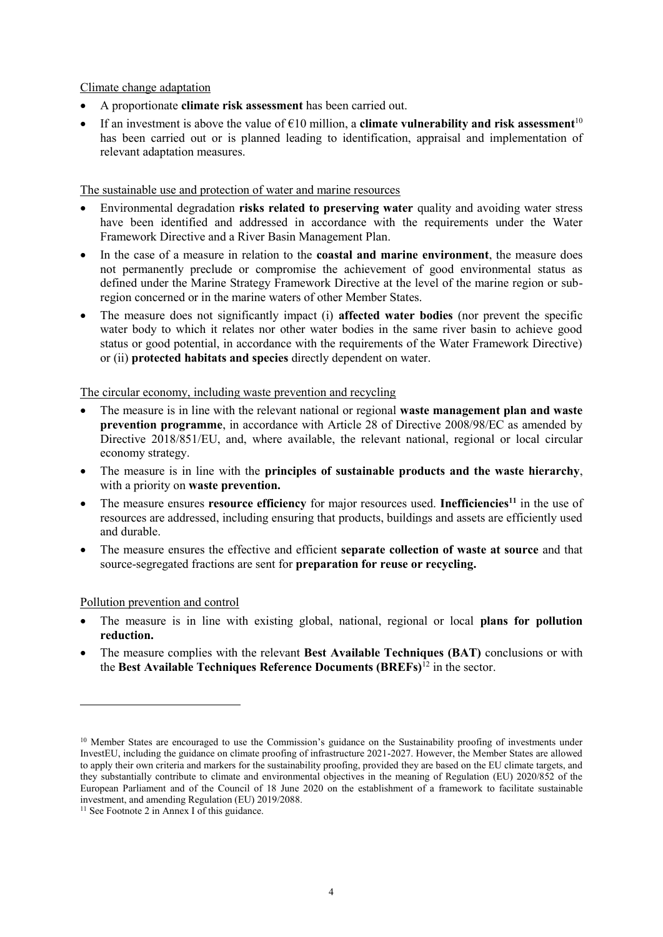Climate change adaptation

- A proportionate **climate risk assessment** has been carried out.
- If an investment is above the value of  $\epsilon$ 10 million, a **climate vulnerability and risk assessment**<sup>10</sup> has been carried out or is planned leading to identification, appraisal and implementation of relevant adaptation measures.

The sustainable use and protection of water and marine resources

- Environmental degradation **risks related to preserving water** quality and avoiding water stress have been identified and addressed in accordance with the requirements under the Water Framework Directive and a River Basin Management Plan.
- In the case of a measure in relation to the **coastal and marine environment**, the measure does not permanently preclude or compromise the achievement of good environmental status as defined under the Marine Strategy Framework Directive at the level of the marine region or subregion concerned or in the marine waters of other Member States.
- The measure does not significantly impact (i) **affected water bodies** (nor prevent the specific water body to which it relates nor other water bodies in the same river basin to achieve good status or good potential, in accordance with the requirements of the Water Framework Directive) or (ii) **protected habitats and species** directly dependent on water.

The circular economy, including waste prevention and recycling

- The measure is in line with the relevant national or regional **waste management plan and waste prevention programme**, in accordance with Article 28 of Directive 2008/98/EC as amended by Directive 2018/851/EU, and, where available, the relevant national, regional or local circular economy strategy.
- The measure is in line with the **principles of sustainable products and the waste hierarchy**, with a priority on **waste prevention.**
- The measure ensures **resource efficiency** for major resources used. **Inefficiencies<sup>11</sup>** in the use of resources are addressed, including ensuring that products, buildings and assets are efficiently used and durable.
- The measure ensures the effective and efficient **separate collection of waste at source** and that source-segregated fractions are sent for **preparation for reuse or recycling.**

#### Pollution prevention and control

1

- The measure is in line with existing global, national, regional or local **plans for pollution reduction.**
- The measure complies with the relevant **Best Available Techniques (BAT)** conclusions or with the **Best Available Techniques Reference Documents (BREFs)**<sup>12</sup> in the sector.

<sup>&</sup>lt;sup>10</sup> Member States are encouraged to use the Commission's guidance on the Sustainability proofing of investments under InvestEU, including the guidance on climate proofing of infrastructure 2021-2027. However, the Member States are allowed to apply their own criteria and markers for the sustainability proofing, provided they are based on the EU climate targets, and they substantially contribute to climate and environmental objectives in the meaning of Regulation (EU) 2020/852 of the European Parliament and of the Council of 18 June 2020 on the establishment of a framework to facilitate sustainable investment, and amending Regulation (EU) 2019/2088.

<sup>&</sup>lt;sup>11</sup> See Footnote 2 in Annex I of this guidance.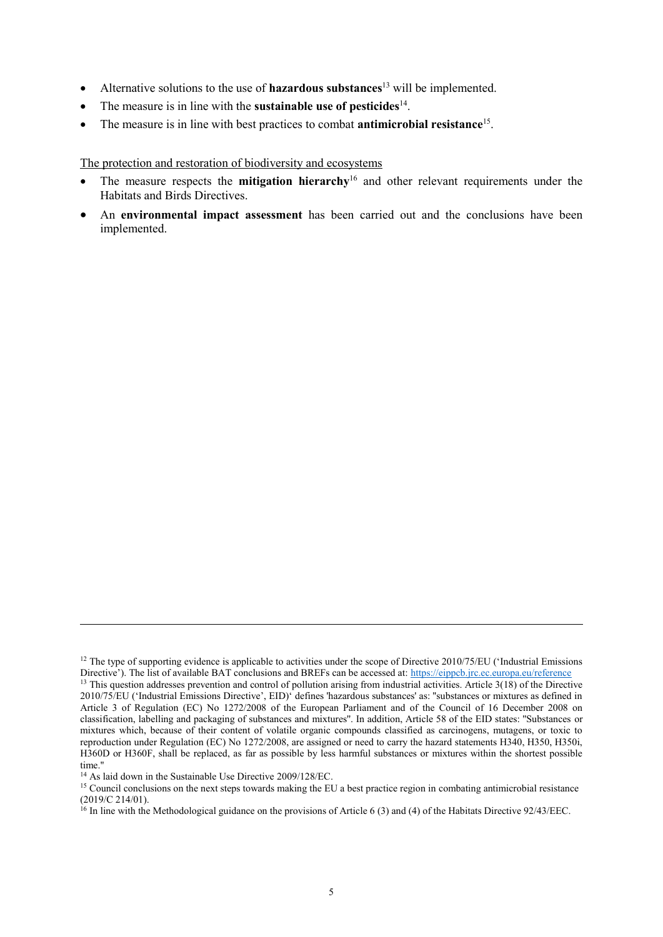- Alternative solutions to the use of **hazardous substances**<sup>13</sup> will be implemented.
- The measure is in line with the **sustainable use of pesticides**<sup>14</sup>.
- The measure is in line with best practices to combat **antimicrobial resistance**<sup>15</sup> .

The protection and restoration of biodiversity and ecosystems

- The measure respects the **mitigation hierarchy**<sup>16</sup> and other relevant requirements under the Habitats and Birds Directives.
- An **environmental impact assessment** has been carried out and the conclusions have been implemented.

<sup>&</sup>lt;sup>12</sup> The type of supporting evidence is applicable to activities under the scope of Directive 2010/75/EU ('Industrial Emissions Directive'). The list of available BAT conclusions and BREFs can be accessed at: <https://eippcb.jrc.ec.europa.eu/reference> <sup>13</sup> This question addresses prevention and control of pollution arising from industrial activities. Article 3(18) of the Directive 2010/75/EU ('Industrial Emissions Directive', EID)' defines 'hazardous substances' as: ''substances or mixtures as defined in Article 3 [of Regulation \(EC\) No 1272/2008](https://eur-lex.europa.eu/legal-content/EN/TXT/?uri=celex%3A32008R1272) of the European Parliament and of the Council of 16 December 2008 on classification, labelling and packaging of substances and mixtures''. In addition, Article 58 of the EID states: ''Substances or mixtures which, because of their content of volatile organic compounds classified as carcinogens, mutagens, or toxic to reproduction under Regulation (EC) No 1272/2008, are assigned or need to carry the hazard statements H340, H350, H350i, H360D or H360F, shall be replaced, as far as possible by less harmful substances or mixtures within the shortest possible time.''

<sup>&</sup>lt;sup>14</sup> As laid down in the Sustainable Use Directive 2009/128/EC.

<sup>&</sup>lt;sup>15</sup> Council conclusions on the next steps towards making the EU a best practice region in combating antimicrobial resistance (2019/C 214/01).

 $^{16}$  In line with the Methodological guidance on the provisions of Article 6 (3) and (4) of the Habitats Directive 92/43/EEC.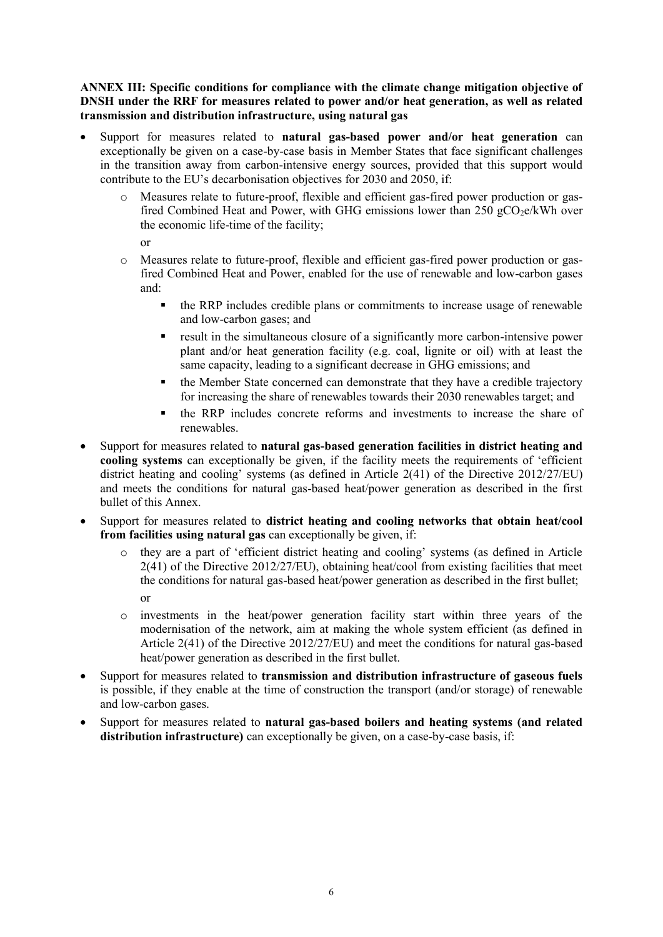**ANNEX III: Specific conditions for compliance with the climate change mitigation objective of DNSH under the RRF for measures related to power and/or heat generation, as well as related transmission and distribution infrastructure, using natural gas**

- Support for measures related to **natural gas-based power and/or heat generation** can exceptionally be given on a case-by-case basis in Member States that face significant challenges in the transition away from carbon-intensive energy sources, provided that this support would contribute to the EU's decarbonisation objectives for 2030 and 2050, if:
	- o Measures relate to future-proof, flexible and efficient gas-fired power production or gasfired Combined Heat and Power, with GHG emissions lower than  $250 \text{ gCO}_2$ e/kWh over the economic life-time of the facility;

or

- o Measures relate to future-proof, flexible and efficient gas-fired power production or gasfired Combined Heat and Power, enabled for the use of renewable and low-carbon gases and:
	- the RRP includes credible plans or commitments to increase usage of renewable and low-carbon gases; and
	- result in the simultaneous closure of a significantly more carbon-intensive power plant and/or heat generation facility (e.g. coal, lignite or oil) with at least the same capacity, leading to a significant decrease in GHG emissions; and
	- **the Member State concerned can demonstrate that they have a credible trajectory** for increasing the share of renewables towards their 2030 renewables target; and
	- the RRP includes concrete reforms and investments to increase the share of renewables.
- Support for measures related to **natural gas-based generation facilities in district heating and cooling systems** can exceptionally be given, if the facility meets the requirements of 'efficient district heating and cooling' systems (as defined in Article 2(41) of the Directive 2012/27/EU) and meets the conditions for natural gas-based heat/power generation as described in the first bullet of this Annex.
- Support for measures related to **district heating and cooling networks that obtain heat/cool from facilities using natural gas** can exceptionally be given, if:
	- o they are a part of 'efficient district heating and cooling' systems (as defined in Article 2(41) of the Directive 2012/27/EU), obtaining heat/cool from existing facilities that meet the conditions for natural gas-based heat/power generation as described in the first bullet;  $\alpha$ r
	- o investments in the heat/power generation facility start within three years of the modernisation of the network, aim at making the whole system efficient (as defined in Article 2(41) of the Directive 2012/27/EU) and meet the conditions for natural gas-based heat/power generation as described in the first bullet.
- Support for measures related to **transmission and distribution infrastructure of gaseous fuels** is possible, if they enable at the time of construction the transport (and/or storage) of renewable and low-carbon gases.
- Support for measures related to **natural gas-based boilers and heating systems (and related**  distribution infrastructure) can exceptionally be given, on a case-by-case basis, if: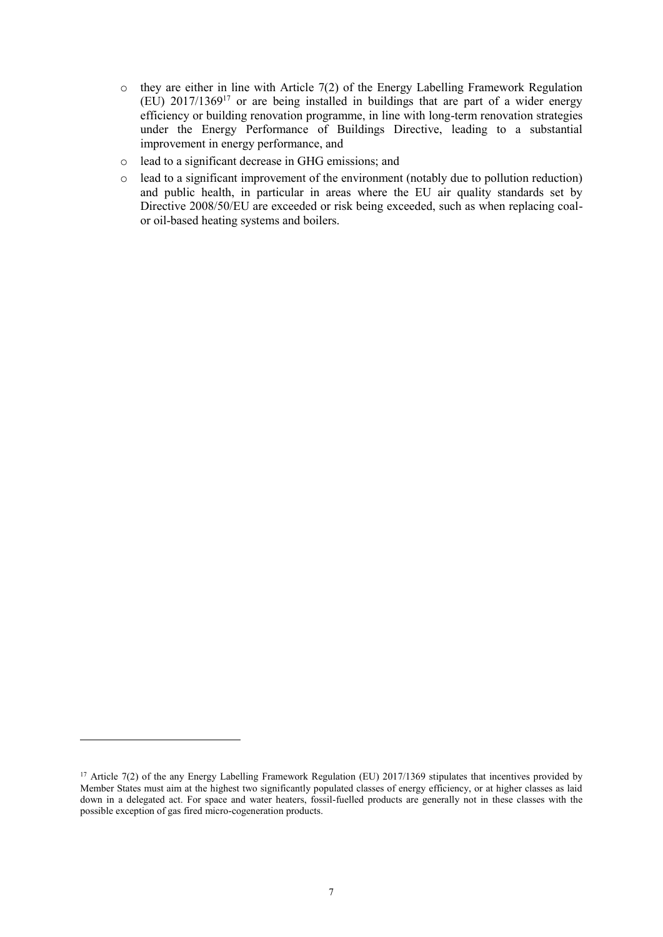- $\circ$  they are either in line with Article 7(2) of the Energy Labelling Framework Regulation (EU) 2017/1369<sup>17</sup> or are being installed in buildings that are part of a wider energy efficiency or building renovation programme, in line with long-term renovation strategies under the Energy Performance of Buildings Directive, leading to a substantial improvement in energy performance, and
- o lead to a significant decrease in GHG emissions; and
- o lead to a significant improvement of the environment (notably due to pollution reduction) and public health, in particular in areas where the EU air quality standards set by Directive 2008/50/EU are exceeded or risk being exceeded, such as when replacing coalor oil-based heating systems and boilers.

<sup>&</sup>lt;sup>17</sup> Article 7(2) of the any Energy Labelling Framework Regulation (EU)  $2017/1369$  stipulates that incentives provided by Member States must aim at the highest two significantly populated classes of energy efficiency, or at higher classes as laid down in a delegated act. For space and water heaters, fossil-fuelled products are generally not in these classes with the possible exception of gas fired micro-cogeneration products.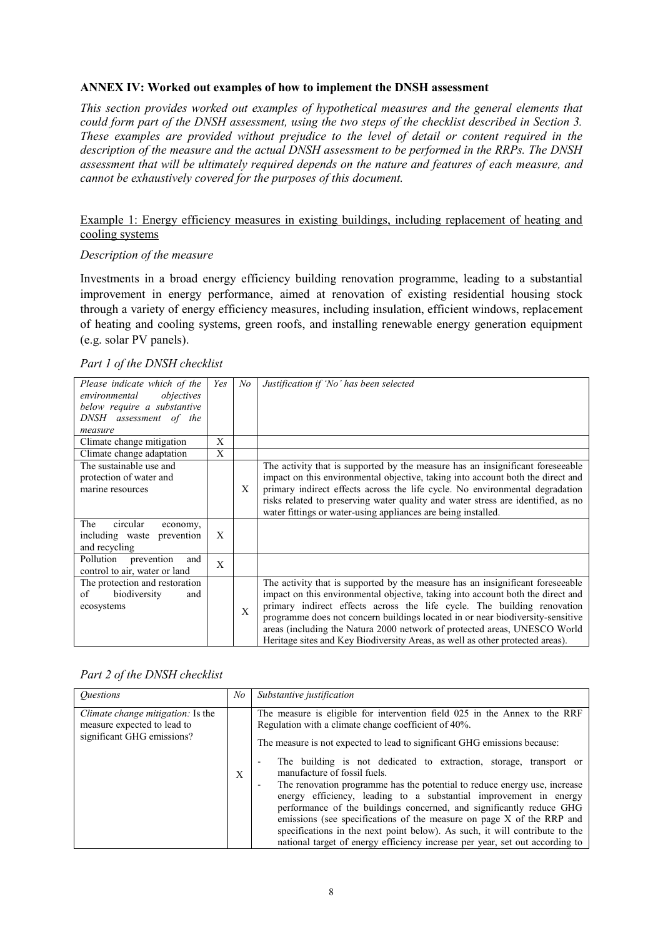#### **ANNEX IV: Worked out examples of how to implement the DNSH assessment**

*This section provides worked out examples of hypothetical measures and the general elements that could form part of the DNSH assessment, using the two steps of the checklist described in Section 3. These examples are provided without prejudice to the level of detail or content required in the description of the measure and the actual DNSH assessment to be performed in the RRPs. The DNSH assessment that will be ultimately required depends on the nature and features of each measure, and cannot be exhaustively covered for the purposes of this document.* 

#### Example 1: Energy efficiency measures in existing buildings, including replacement of heating and cooling systems

#### *Description of the measure*

Investments in a broad energy efficiency building renovation programme, leading to a substantial improvement in energy performance, aimed at renovation of existing residential housing stock through a variety of energy efficiency measures, including insulation, efficient windows, replacement of heating and cooling systems, green roofs, and installing renewable energy generation equipment (e.g. solar PV panels).

|  |  |  | Part 1 of the DNSH checklist |
|--|--|--|------------------------------|
|--|--|--|------------------------------|

| Please indicate which of the<br>environmental<br>objectives<br>below require a substantive<br>DNSH assessment of the<br>measure | Yes | No | Justification if 'No' has been selected                                                                                                                                                                                                                                                                                                                                                                                                                                                      |
|---------------------------------------------------------------------------------------------------------------------------------|-----|----|----------------------------------------------------------------------------------------------------------------------------------------------------------------------------------------------------------------------------------------------------------------------------------------------------------------------------------------------------------------------------------------------------------------------------------------------------------------------------------------------|
| Climate change mitigation                                                                                                       | X   |    |                                                                                                                                                                                                                                                                                                                                                                                                                                                                                              |
| Climate change adaptation                                                                                                       | X   |    |                                                                                                                                                                                                                                                                                                                                                                                                                                                                                              |
| The sustainable use and<br>protection of water and<br>marine resources                                                          |     | X  | The activity that is supported by the measure has an insignificant foreseeable<br>impact on this environmental objective, taking into account both the direct and<br>primary indirect effects across the life cycle. No environmental degradation<br>risks related to preserving water quality and water stress are identified, as no<br>water fittings or water-using appliances are being installed.                                                                                       |
| circular<br>The<br>economy,<br>including waste prevention<br>and recycling                                                      | X   |    |                                                                                                                                                                                                                                                                                                                                                                                                                                                                                              |
| Pollution<br>prevention<br>and<br>control to air, water or land                                                                 | X   |    |                                                                                                                                                                                                                                                                                                                                                                                                                                                                                              |
| The protection and restoration<br>of<br>biodiversity<br>and<br>ecosystems                                                       |     | X  | The activity that is supported by the measure has an insignificant foreseeable<br>impact on this environmental objective, taking into account both the direct and<br>primary indirect effects across the life cycle. The building renovation<br>programme does not concern buildings located in or near biodiversity-sensitive<br>areas (including the Natura 2000 network of protected areas, UNESCO World<br>Heritage sites and Key Biodiversity Areas, as well as other protected areas). |

|  | Part 2 of the DNSH checklist |
|--|------------------------------|
|  |                              |

| <i><u><b>Ouestions</b></u></i>                                                                        | No | Substantive justification                                                                                                                                                                                                                                                                                                                                                                                                                                                                                                                                                                                                                                                                                                                                                               |
|-------------------------------------------------------------------------------------------------------|----|-----------------------------------------------------------------------------------------------------------------------------------------------------------------------------------------------------------------------------------------------------------------------------------------------------------------------------------------------------------------------------------------------------------------------------------------------------------------------------------------------------------------------------------------------------------------------------------------------------------------------------------------------------------------------------------------------------------------------------------------------------------------------------------------|
| <i>Climate change mitigation:</i> Is the<br>measure expected to lead to<br>significant GHG emissions? | X  | The measure is eligible for intervention field 025 in the Annex to the RRF<br>Regulation with a climate change coefficient of 40%.<br>The measure is not expected to lead to significant GHG emissions because:<br>The building is not dedicated to extraction, storage, transport or<br>manufacture of fossil fuels.<br>The renovation programme has the potential to reduce energy use, increase<br>energy efficiency, leading to a substantial improvement in energy<br>performance of the buildings concerned, and significantly reduce GHG<br>emissions (see specifications of the measure on page X of the RRP and<br>specifications in the next point below). As such, it will contribute to the<br>national target of energy efficiency increase per year, set out according to |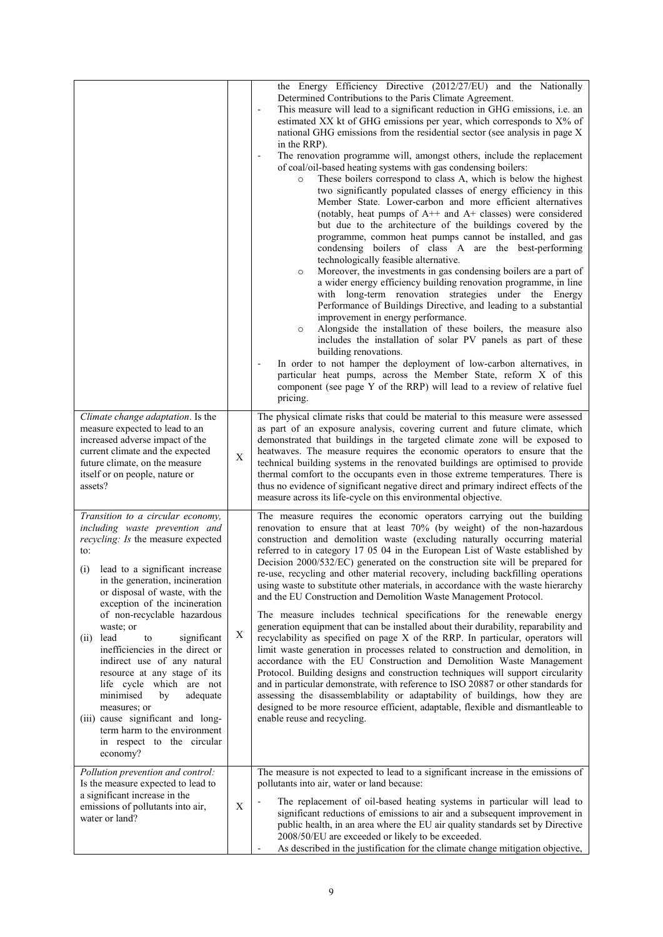|                                                                                                                                                                                                                                                                                                                                                                                                                                                                                                                                                                                                                                                            |             | the Energy Efficiency Directive (2012/27/EU) and the Nationally<br>Determined Contributions to the Paris Climate Agreement.<br>This measure will lead to a significant reduction in GHG emissions, i.e. an<br>estimated XX kt of GHG emissions per year, which corresponds to X% of<br>national GHG emissions from the residential sector (see analysis in page X<br>in the RRP).<br>The renovation programme will, amongst others, include the replacement<br>of coal/oil-based heating systems with gas condensing boilers:<br>These boilers correspond to class A, which is below the highest<br>$\circ$<br>two significantly populated classes of energy efficiency in this<br>Member State. Lower-carbon and more efficient alternatives<br>(notably, heat pumps of $A++$ and $A+$ classes) were considered<br>but due to the architecture of the buildings covered by the<br>programme, common heat pumps cannot be installed, and gas<br>condensing boilers of class A are the best-performing<br>technologically feasible alternative.<br>Moreover, the investments in gas condensing boilers are a part of<br>$\circ$<br>a wider energy efficiency building renovation programme, in line<br>with long-term renovation strategies under the Energy<br>Performance of Buildings Directive, and leading to a substantial<br>improvement in energy performance.<br>Alongside the installation of these boilers, the measure also<br>$\circ$<br>includes the installation of solar PV panels as part of these<br>building renovations.<br>In order to not hamper the deployment of low-carbon alternatives, in<br>particular heat pumps, across the Member State, reform X of this<br>component (see page Y of the RRP) will lead to a review of relative fuel<br>pricing. |
|------------------------------------------------------------------------------------------------------------------------------------------------------------------------------------------------------------------------------------------------------------------------------------------------------------------------------------------------------------------------------------------------------------------------------------------------------------------------------------------------------------------------------------------------------------------------------------------------------------------------------------------------------------|-------------|---------------------------------------------------------------------------------------------------------------------------------------------------------------------------------------------------------------------------------------------------------------------------------------------------------------------------------------------------------------------------------------------------------------------------------------------------------------------------------------------------------------------------------------------------------------------------------------------------------------------------------------------------------------------------------------------------------------------------------------------------------------------------------------------------------------------------------------------------------------------------------------------------------------------------------------------------------------------------------------------------------------------------------------------------------------------------------------------------------------------------------------------------------------------------------------------------------------------------------------------------------------------------------------------------------------------------------------------------------------------------------------------------------------------------------------------------------------------------------------------------------------------------------------------------------------------------------------------------------------------------------------------------------------------------------------------------------------------------------------------------------------------------------|
| Climate change adaptation. Is the<br>measure expected to lead to an<br>increased adverse impact of the<br>current climate and the expected<br>future climate, on the measure<br>itself or on people, nature or<br>assets?                                                                                                                                                                                                                                                                                                                                                                                                                                  | $\mathbf X$ | The physical climate risks that could be material to this measure were assessed<br>as part of an exposure analysis, covering current and future climate, which<br>demonstrated that buildings in the targeted climate zone will be exposed to<br>heatwaves. The measure requires the economic operators to ensure that the<br>technical building systems in the renovated buildings are optimised to provide<br>thermal comfort to the occupants even in those extreme temperatures. There is<br>thus no evidence of significant negative direct and primary indirect effects of the<br>measure across its life-cycle on this environmental objective.                                                                                                                                                                                                                                                                                                                                                                                                                                                                                                                                                                                                                                                                                                                                                                                                                                                                                                                                                                                                                                                                                                                          |
| Transition to a circular economy,<br>including waste prevention and<br>recycling: Is the measure expected<br>to:<br>lead to a significant increase<br>$\left( 1\right)$<br>in the generation, incineration<br>or disposal of waste, with the<br>exception of the incineration<br>of non-recyclable hazardous<br>waste; or<br>lead<br>significant<br>(ii)<br>to<br>inefficiencies in the direct or<br>indirect use of any natural<br>resource at any stage of its<br>life cycle which are not<br>minimised<br>adequate<br>by<br>measures; or<br>(iii) cause significant and long-<br>term harm to the environment<br>in respect to the circular<br>economy? | X           | The measure requires the economic operators carrying out the building<br>renovation to ensure that at least 70% (by weight) of the non-hazardous<br>construction and demolition waste (excluding naturally occurring material<br>referred to in category 17 05 04 in the European List of Waste established by<br>Decision 2000/532/EC) generated on the construction site will be prepared for<br>re-use, recycling and other material recovery, including backfilling operations<br>using waste to substitute other materials, in accordance with the waste hierarchy<br>and the EU Construction and Demolition Waste Management Protocol.<br>The measure includes technical specifications for the renewable energy<br>generation equipment that can be installed about their durability, reparability and<br>recyclability as specified on page X of the RRP. In particular, operators will<br>limit waste generation in processes related to construction and demolition, in<br>accordance with the EU Construction and Demolition Waste Management<br>Protocol. Building designs and construction techniques will support circularity<br>and in particular demonstrate, with reference to ISO 20887 or other standards for<br>assessing the disassemblability or adaptability of buildings, how they are<br>designed to be more resource efficient, adaptable, flexible and dismantleable to<br>enable reuse and recycling.                                                                                                                                                                                                                                                                                                                                               |
| Pollution prevention and control:<br>Is the measure expected to lead to<br>a significant increase in the<br>emissions of pollutants into air,<br>water or land?                                                                                                                                                                                                                                                                                                                                                                                                                                                                                            | $\mathbf X$ | The measure is not expected to lead to a significant increase in the emissions of<br>pollutants into air, water or land because:<br>The replacement of oil-based heating systems in particular will lead to<br>significant reductions of emissions to air and a subsequent improvement in<br>public health, in an area where the EU air quality standards set by Directive<br>2008/50/EU are exceeded or likely to be exceeded.<br>As described in the justification for the climate change mitigation objective,                                                                                                                                                                                                                                                                                                                                                                                                                                                                                                                                                                                                                                                                                                                                                                                                                                                                                                                                                                                                                                                                                                                                                                                                                                                               |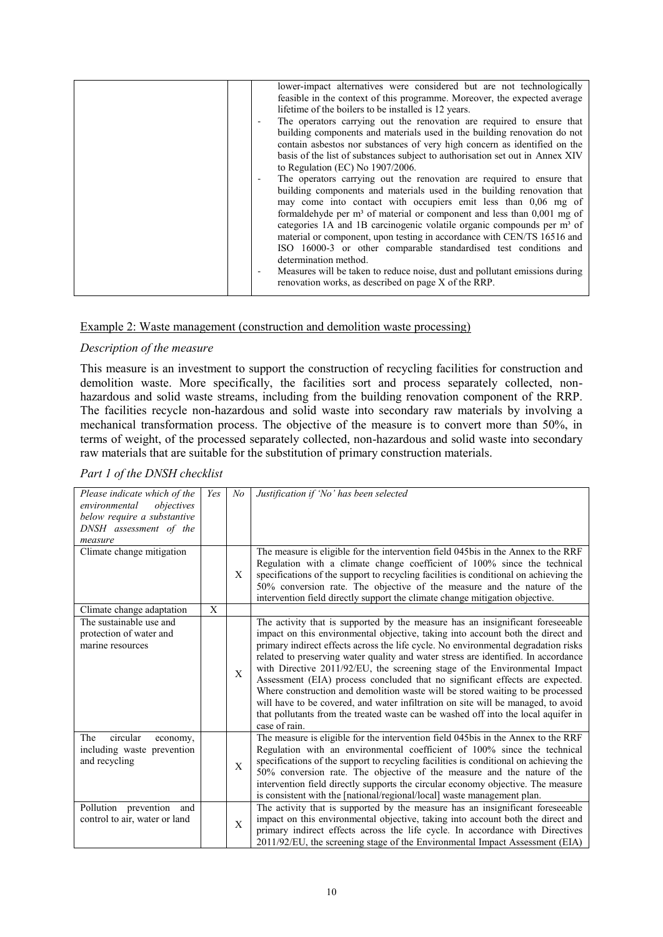| lower-impact alternatives were considered but are not technologically              |
|------------------------------------------------------------------------------------|
| feasible in the context of this programme. Moreover, the expected average          |
| lifetime of the boilers to be installed is 12 years.                               |
| The operators carrying out the renovation are required to ensure that              |
| building components and materials used in the building renovation do not           |
| contain asbestos nor substances of very high concern as identified on the          |
| basis of the list of substances subject to authorisation set out in Annex XIV      |
| to Regulation (EC) No 1907/2006.                                                   |
| The operators carrying out the renovation are required to ensure that              |
| building components and materials used in the building renovation that             |
| may come into contact with occupiers emit less than 0,06 mg of                     |
| formaldehyde per $m3$ of material or component and less than $0,001$ mg of         |
| categories 1A and 1B carcinogenic volatile organic compounds per m <sup>3</sup> of |
| material or component, upon testing in accordance with CEN/TS 16516 and            |
| ISO 16000-3 or other comparable standardised test conditions and                   |
| determination method.                                                              |
| Measures will be taken to reduce noise, dust and pollutant emissions during        |
| renovation works, as described on page X of the RRP.                               |
|                                                                                    |

#### Example 2: Waste management (construction and demolition waste processing)

#### *Description of the measure*

This measure is an investment to support the construction of recycling facilities for construction and demolition waste. More specifically, the facilities sort and process separately collected, nonhazardous and solid waste streams, including from the building renovation component of the RRP. The facilities recycle non-hazardous and solid waste into secondary raw materials by involving a mechanical transformation process. The objective of the measure is to convert more than 50%, in terms of weight, of the processed separately collected, non-hazardous and solid waste into secondary raw materials that are suitable for the substitution of primary construction materials.

| Please indicate which of the<br>environmental<br>objectives<br>below require a substantive<br>DNSH assessment of the<br>measure | Yes | N <sub>o</sub> | Justification if 'No' has been selected                                                                                                                                                                                                                                                                                                                                                                                                                                                                                                                                                                                                                                                                                                                                                   |
|---------------------------------------------------------------------------------------------------------------------------------|-----|----------------|-------------------------------------------------------------------------------------------------------------------------------------------------------------------------------------------------------------------------------------------------------------------------------------------------------------------------------------------------------------------------------------------------------------------------------------------------------------------------------------------------------------------------------------------------------------------------------------------------------------------------------------------------------------------------------------------------------------------------------------------------------------------------------------------|
| Climate change mitigation                                                                                                       |     | X              | The measure is eligible for the intervention field 045bis in the Annex to the RRF<br>Regulation with a climate change coefficient of 100% since the technical<br>specifications of the support to recycling facilities is conditional on achieving the<br>50% conversion rate. The objective of the measure and the nature of the<br>intervention field directly support the climate change mitigation objective.                                                                                                                                                                                                                                                                                                                                                                         |
| Climate change adaptation                                                                                                       | X   |                |                                                                                                                                                                                                                                                                                                                                                                                                                                                                                                                                                                                                                                                                                                                                                                                           |
| The sustainable use and<br>protection of water and<br>marine resources                                                          |     | X              | The activity that is supported by the measure has an insignificant foreseeable<br>impact on this environmental objective, taking into account both the direct and<br>primary indirect effects across the life cycle. No environmental degradation risks<br>related to preserving water quality and water stress are identified. In accordance<br>with Directive 2011/92/EU, the screening stage of the Environmental Impact<br>Assessment (EIA) process concluded that no significant effects are expected.<br>Where construction and demolition waste will be stored waiting to be processed<br>will have to be covered, and water infiltration on site will be managed, to avoid<br>that pollutants from the treated waste can be washed off into the local aquifer in<br>case of rain. |
| circular<br>The<br>economy,<br>including waste prevention<br>and recycling                                                      |     | X              | The measure is eligible for the intervention field 045bis in the Annex to the RRF<br>Regulation with an environmental coefficient of 100% since the technical<br>specifications of the support to recycling facilities is conditional on achieving the<br>50% conversion rate. The objective of the measure and the nature of the<br>intervention field directly supports the circular economy objective. The measure<br>is consistent with the [national/regional/local] waste management plan.                                                                                                                                                                                                                                                                                          |
| Pollution prevention and<br>control to air, water or land                                                                       |     | X              | The activity that is supported by the measure has an insignificant foreseeable<br>impact on this environmental objective, taking into account both the direct and<br>primary indirect effects across the life cycle. In accordance with Directives<br>2011/92/EU, the screening stage of the Environmental Impact Assessment (EIA)                                                                                                                                                                                                                                                                                                                                                                                                                                                        |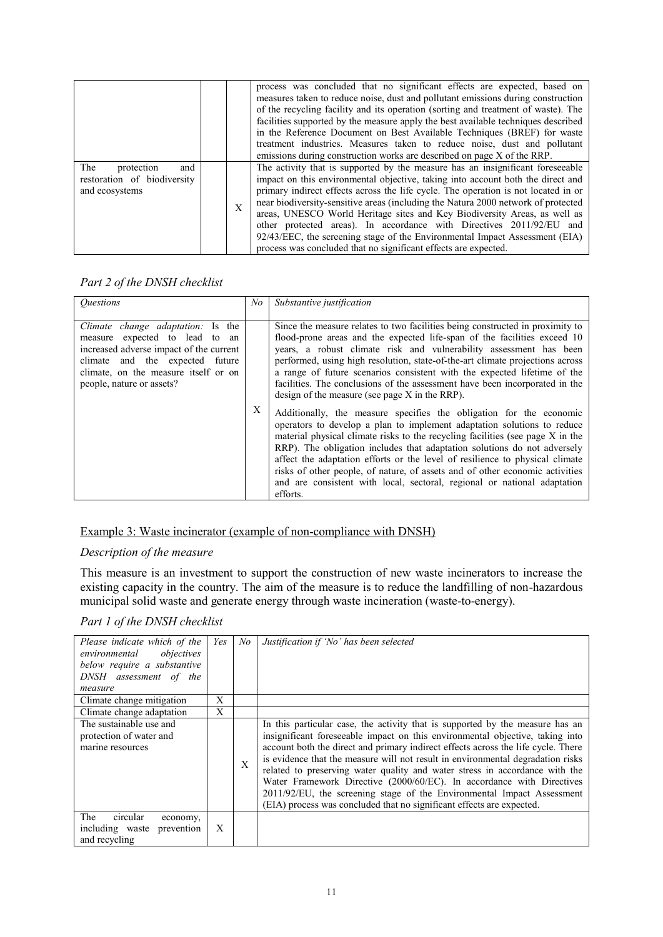|                                                                           |   | process was concluded that no significant effects are expected, based on<br>measures taken to reduce noise, dust and pollutant emissions during construction<br>of the recycling facility and its operation (sorting and treatment of waste). The<br>facilities supported by the measure apply the best available techniques described<br>in the Reference Document on Best Available Techniques (BREF) for waste<br>treatment industries. Measures taken to reduce noise, dust and pollutant<br>emissions during construction works are described on page X of the RRP.                                                                            |
|---------------------------------------------------------------------------|---|-----------------------------------------------------------------------------------------------------------------------------------------------------------------------------------------------------------------------------------------------------------------------------------------------------------------------------------------------------------------------------------------------------------------------------------------------------------------------------------------------------------------------------------------------------------------------------------------------------------------------------------------------------|
| The<br>and<br>protection<br>restoration of biodiversity<br>and ecosystems | X | The activity that is supported by the measure has an insignificant foreseeable<br>impact on this environmental objective, taking into account both the direct and<br>primary indirect effects across the life cycle. The operation is not located in or<br>near biodiversity-sensitive areas (including the Natura 2000 network of protected<br>areas, UNESCO World Heritage sites and Key Biodiversity Areas, as well as<br>other protected areas). In accordance with Directives 2011/92/EU and<br>92/43/EEC, the screening stage of the Environmental Impact Assessment (EIA)<br>process was concluded that no significant effects are expected. |

| <i><u><b>Ouestions</b></u></i>                                                                                                                                                                                         | No | Substantive justification                                                                                                                                                                                                                                                                                                                                                                                                                                                                                                                                            |
|------------------------------------------------------------------------------------------------------------------------------------------------------------------------------------------------------------------------|----|----------------------------------------------------------------------------------------------------------------------------------------------------------------------------------------------------------------------------------------------------------------------------------------------------------------------------------------------------------------------------------------------------------------------------------------------------------------------------------------------------------------------------------------------------------------------|
| Climate change adaptation: Is the<br>measure expected to lead to an<br>increased adverse impact of the current<br>climate and the expected future<br>climate, on the measure itself or on<br>people, nature or assets? |    | Since the measure relates to two facilities being constructed in proximity to<br>flood-prone areas and the expected life-span of the facilities exceed 10<br>years, a robust climate risk and vulnerability assessment has been<br>performed, using high resolution, state-of-the-art climate projections across<br>a range of future scenarios consistent with the expected lifetime of the<br>facilities. The conclusions of the assessment have been incorporated in the<br>design of the measure (see page $X$ in the RRP).                                      |
|                                                                                                                                                                                                                        | X  | Additionally, the measure specifies the obligation for the economic<br>operators to develop a plan to implement adaptation solutions to reduce<br>material physical climate risks to the recycling facilities (see page X in the<br>RRP). The obligation includes that adaptation solutions do not adversely<br>affect the adaptation efforts or the level of resilience to physical climate<br>risks of other people, of nature, of assets and of other economic activities<br>and are consistent with local, sectoral, regional or national adaptation<br>efforts. |

#### Example 3: Waste incinerator (example of non-compliance with DNSH)

#### *Description of the measure*

This measure is an investment to support the construction of new waste incinerators to increase the existing capacity in the country. The aim of the measure is to reduce the landfilling of non-hazardous municipal solid waste and generate energy through waste incineration (waste-to-energy).

| Please indicate which of the<br>objectives<br>environmental<br>below require a substantive<br>DNSH assessment of the<br>measure | Yes | No | Justification if 'No' has been selected                                                                                                                                                                                                                                                                                                                                                                                                                                                                                                                                                                                                           |
|---------------------------------------------------------------------------------------------------------------------------------|-----|----|---------------------------------------------------------------------------------------------------------------------------------------------------------------------------------------------------------------------------------------------------------------------------------------------------------------------------------------------------------------------------------------------------------------------------------------------------------------------------------------------------------------------------------------------------------------------------------------------------------------------------------------------------|
| Climate change mitigation                                                                                                       | X   |    |                                                                                                                                                                                                                                                                                                                                                                                                                                                                                                                                                                                                                                                   |
| Climate change adaptation                                                                                                       | X   |    |                                                                                                                                                                                                                                                                                                                                                                                                                                                                                                                                                                                                                                                   |
| The sustainable use and<br>protection of water and<br>marine resources                                                          |     | X  | In this particular case, the activity that is supported by the measure has an<br>insignificant foreseeable impact on this environmental objective, taking into<br>account both the direct and primary indirect effects across the life cycle. There<br>is evidence that the measure will not result in environmental degradation risks<br>related to preserving water quality and water stress in accordance with the<br>Water Framework Directive (2000/60/EC). In accordance with Directives<br>2011/92/EU, the screening stage of the Environmental Impact Assessment<br>(EIA) process was concluded that no significant effects are expected. |
| circular<br>The<br>economy,<br>prevention<br>including waste<br>and recycling                                                   | X   |    |                                                                                                                                                                                                                                                                                                                                                                                                                                                                                                                                                                                                                                                   |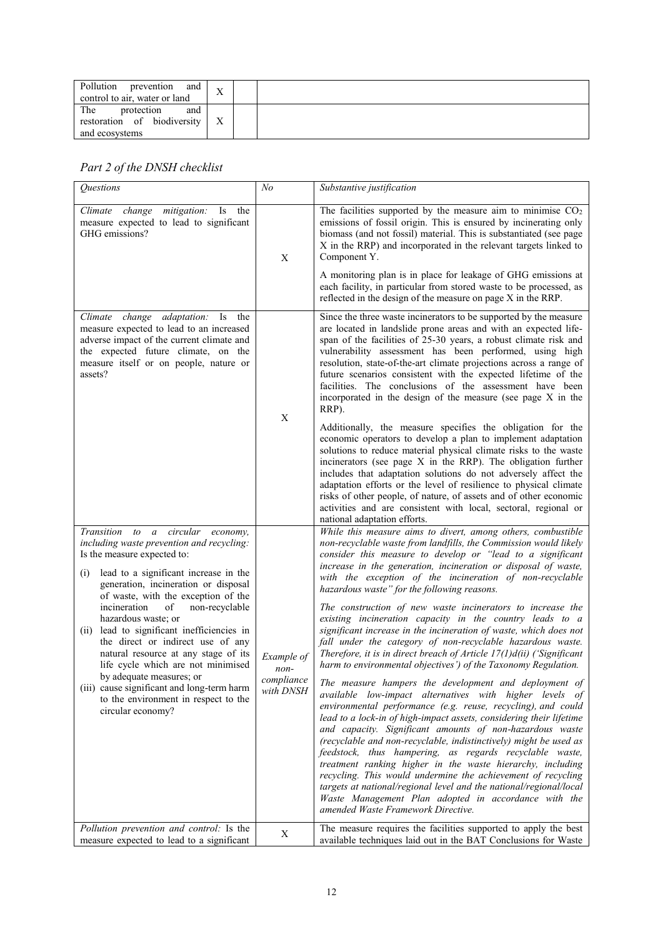| Pollution<br>prevention<br>and<br>control to air, water or land           | ٦z<br>77 |  |
|---------------------------------------------------------------------------|----------|--|
| The<br>protection<br>and<br>restoration of biodiversity<br>and ecosystems | X        |  |

| Questions                                                                                                                                                                                                                                                                                                                                                                                                                                                                                                                                                                                                              | N <sub>O</sub>                                | Substantive justification                                                                                                                                                                                                                                                                                                                                                                                                                                                                                                                                                                                                                                                                                                                                                                                                                                                                                                                                                                                                                                                                                                                                                                                                                                                                                                                                                                                                                                                                                                                    |
|------------------------------------------------------------------------------------------------------------------------------------------------------------------------------------------------------------------------------------------------------------------------------------------------------------------------------------------------------------------------------------------------------------------------------------------------------------------------------------------------------------------------------------------------------------------------------------------------------------------------|-----------------------------------------------|----------------------------------------------------------------------------------------------------------------------------------------------------------------------------------------------------------------------------------------------------------------------------------------------------------------------------------------------------------------------------------------------------------------------------------------------------------------------------------------------------------------------------------------------------------------------------------------------------------------------------------------------------------------------------------------------------------------------------------------------------------------------------------------------------------------------------------------------------------------------------------------------------------------------------------------------------------------------------------------------------------------------------------------------------------------------------------------------------------------------------------------------------------------------------------------------------------------------------------------------------------------------------------------------------------------------------------------------------------------------------------------------------------------------------------------------------------------------------------------------------------------------------------------------|
| mitigation:<br>Climate change<br>Is<br>the<br>measure expected to lead to significant<br>GHG emissions?                                                                                                                                                                                                                                                                                                                                                                                                                                                                                                                | X                                             | The facilities supported by the measure aim to minimise $CO2$<br>emissions of fossil origin. This is ensured by incinerating only<br>biomass (and not fossil) material. This is substantiated (see page<br>X in the RRP) and incorporated in the relevant targets linked to<br>Component Y.                                                                                                                                                                                                                                                                                                                                                                                                                                                                                                                                                                                                                                                                                                                                                                                                                                                                                                                                                                                                                                                                                                                                                                                                                                                  |
|                                                                                                                                                                                                                                                                                                                                                                                                                                                                                                                                                                                                                        |                                               | A monitoring plan is in place for leakage of GHG emissions at<br>each facility, in particular from stored waste to be processed, as<br>reflected in the design of the measure on page $X$ in the RRP.                                                                                                                                                                                                                                                                                                                                                                                                                                                                                                                                                                                                                                                                                                                                                                                                                                                                                                                                                                                                                                                                                                                                                                                                                                                                                                                                        |
| adaptation:<br>Climate change<br>Is<br>the<br>measure expected to lead to an increased<br>adverse impact of the current climate and<br>the expected future climate, on the<br>measure itself or on people, nature or<br>assets?                                                                                                                                                                                                                                                                                                                                                                                        |                                               | Since the three waste incinerators to be supported by the measure<br>are located in landslide prone areas and with an expected life-<br>span of the facilities of 25-30 years, a robust climate risk and<br>vulnerability assessment has been performed, using high<br>resolution, state-of-the-art climate projections across a range of<br>future scenarios consistent with the expected lifetime of the<br>facilities. The conclusions of the assessment have been<br>incorporated in the design of the measure (see page X in the<br>RRP).                                                                                                                                                                                                                                                                                                                                                                                                                                                                                                                                                                                                                                                                                                                                                                                                                                                                                                                                                                                               |
|                                                                                                                                                                                                                                                                                                                                                                                                                                                                                                                                                                                                                        | $\mathbf X$                                   | Additionally, the measure specifies the obligation for the<br>economic operators to develop a plan to implement adaptation<br>solutions to reduce material physical climate risks to the waste<br>incinerators (see page X in the RRP). The obligation further<br>includes that adaptation solutions do not adversely affect the<br>adaptation efforts or the level of resilience to physical climate<br>risks of other people, of nature, of assets and of other economic<br>activities and are consistent with local, sectoral, regional or<br>national adaptation efforts.                                                                                                                                                                                                                                                                                                                                                                                                                                                                                                                                                                                                                                                                                                                                                                                                                                                                                                                                                                |
| Transition to a circular economy,<br>including waste prevention and recycling:<br>Is the measure expected to:<br>lead to a significant increase in the<br>(i)<br>generation, incineration or disposal<br>of waste, with the exception of the<br>incineration<br>of<br>non-recyclable<br>hazardous waste; or<br>lead to significant inefficiencies in<br>(11)<br>the direct or indirect use of any<br>natural resource at any stage of its<br>life cycle which are not minimised<br>by adequate measures; or<br>(iii) cause significant and long-term harm<br>to the environment in respect to the<br>circular economy? | Example of<br>non-<br>compliance<br>with DNSH | While this measure aims to divert, among others, combustible<br>non-recyclable waste from landfills, the Commission would likely<br>consider this measure to develop or "lead to a significant<br>increase in the generation, incineration or disposal of waste,<br>with the exception of the incineration of non-recyclable<br>hazardous waste" for the following reasons.<br>The construction of new waste incinerators to increase the<br>existing incineration capacity in the country leads to a<br>significant increase in the incineration of waste, which does not<br>fall under the category of non-recyclable hazardous waste.<br>Therefore, it is in direct breach of Article 17(1)d(ii) ('Significant<br>harm to environmental objectives') of the Taxonomy Regulation.<br>The measure hampers the development and deployment of<br>available low-impact alternatives with higher levels of<br>environmental performance (e.g. reuse, recycling), and could<br>lead to a lock-in of high-impact assets, considering their lifetime<br>and capacity. Significant amounts of non-hazardous waste<br>(recyclable and non-recyclable, indistinctively) might be used as<br>feedstock, thus hampering, as regards recyclable waste,<br>treatment ranking higher in the waste hierarchy, including<br>recycling. This would undermine the achievement of recycling<br>targets at national/regional level and the national/regional/local<br>Waste Management Plan adopted in accordance with the<br>amended Waste Framework Directive. |
| Pollution prevention and control: Is the<br>measure expected to lead to a significant                                                                                                                                                                                                                                                                                                                                                                                                                                                                                                                                  | X                                             | The measure requires the facilities supported to apply the best<br>available techniques laid out in the BAT Conclusions for Waste                                                                                                                                                                                                                                                                                                                                                                                                                                                                                                                                                                                                                                                                                                                                                                                                                                                                                                                                                                                                                                                                                                                                                                                                                                                                                                                                                                                                            |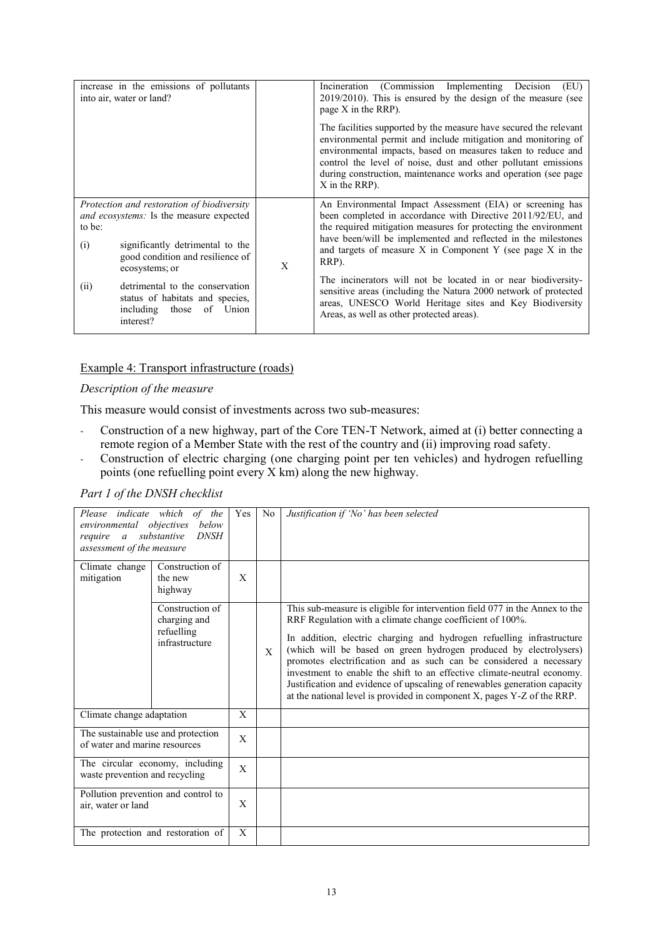|               | increase in the emissions of pollutants<br>into air, water or land?                                                                                                             |   | Incineration (Commission Implementing Decision<br>(EU)<br>$2019/2010$ ). This is ensured by the design of the measure (see<br>page $X$ in the RRP).                                                                                                                                                                                                        |
|---------------|---------------------------------------------------------------------------------------------------------------------------------------------------------------------------------|---|------------------------------------------------------------------------------------------------------------------------------------------------------------------------------------------------------------------------------------------------------------------------------------------------------------------------------------------------------------|
|               |                                                                                                                                                                                 |   | The facilities supported by the measure have secured the relevant<br>environmental permit and include mitigation and monitoring of<br>environmental impacts, based on measures taken to reduce and<br>control the level of noise, dust and other pollutant emissions<br>during construction, maintenance works and operation (see page<br>$X$ in the RRP). |
| to be:<br>(i) | Protection and restoration of biodiversity<br>and ecosystems: Is the measure expected<br>significantly detrimental to the<br>good condition and resilience of<br>ecosystems; or | X | An Environmental Impact Assessment (EIA) or screening has<br>been completed in accordance with Directive 2011/92/EU, and<br>the required mitigation measures for protecting the environment<br>have been/will be implemented and reflected in the milestones<br>and targets of measure $X$ in Component Y (see page $X$ in the<br>RRP).                    |
| (ii)          | detrimental to the conservation<br>status of habitats and species,<br>including<br>of Union<br>those<br>interest?                                                               |   | The incinerators will not be located in or near biodiversity-<br>sensitive areas (including the Natura 2000 network of protected<br>areas, UNESCO World Heritage sites and Key Biodiversity<br>Areas, as well as other protected areas).                                                                                                                   |

# Example 4: Transport infrastructure (roads)

#### *Description of the measure*

This measure would consist of investments across two sub-measures:

- Construction of a new highway, part of the Core TEN-T Network, aimed at (i) better connecting a remote region of a Member State with the rest of the country and (ii) improving road safety.
- Construction of electric charging (one charging point per ten vehicles) and hydrogen refuelling points (one refuelling point every X km) along the new highway.

| environmental objectives<br>require a substantive<br>assessment of the measure | Please indicate which of the<br>below<br><b>DNSH</b>            | Yes          | N <sub>0</sub> | Justification if 'No' has been selected                                                                                                                                                                                                                                                                                                                                                                                                                                                                                                                                                         |
|--------------------------------------------------------------------------------|-----------------------------------------------------------------|--------------|----------------|-------------------------------------------------------------------------------------------------------------------------------------------------------------------------------------------------------------------------------------------------------------------------------------------------------------------------------------------------------------------------------------------------------------------------------------------------------------------------------------------------------------------------------------------------------------------------------------------------|
| Climate change<br>mitigation                                                   | Construction of<br>the new<br>highway                           | X            |                |                                                                                                                                                                                                                                                                                                                                                                                                                                                                                                                                                                                                 |
|                                                                                | Construction of<br>charging and<br>refuelling<br>infrastructure |              | X              | This sub-measure is eligible for intervention field 077 in the Annex to the<br>RRF Regulation with a climate change coefficient of 100%.<br>In addition, electric charging and hydrogen refuelling infrastructure<br>(which will be based on green hydrogen produced by electrolysers)<br>promotes electrification and as such can be considered a necessary<br>investment to enable the shift to an effective climate-neutral economy.<br>Justification and evidence of upscaling of renewables generation capacity<br>at the national level is provided in component X, pages Y-Z of the RRP. |
| Climate change adaptation                                                      |                                                                 | X            |                |                                                                                                                                                                                                                                                                                                                                                                                                                                                                                                                                                                                                 |
| The sustainable use and protection<br>of water and marine resources            |                                                                 | X            |                |                                                                                                                                                                                                                                                                                                                                                                                                                                                                                                                                                                                                 |
| waste prevention and recycling                                                 | The circular economy, including                                 | $\mathbf{X}$ |                |                                                                                                                                                                                                                                                                                                                                                                                                                                                                                                                                                                                                 |
| air, water or land                                                             | Pollution prevention and control to                             | X            |                |                                                                                                                                                                                                                                                                                                                                                                                                                                                                                                                                                                                                 |
|                                                                                | The protection and restoration of                               | X            |                |                                                                                                                                                                                                                                                                                                                                                                                                                                                                                                                                                                                                 |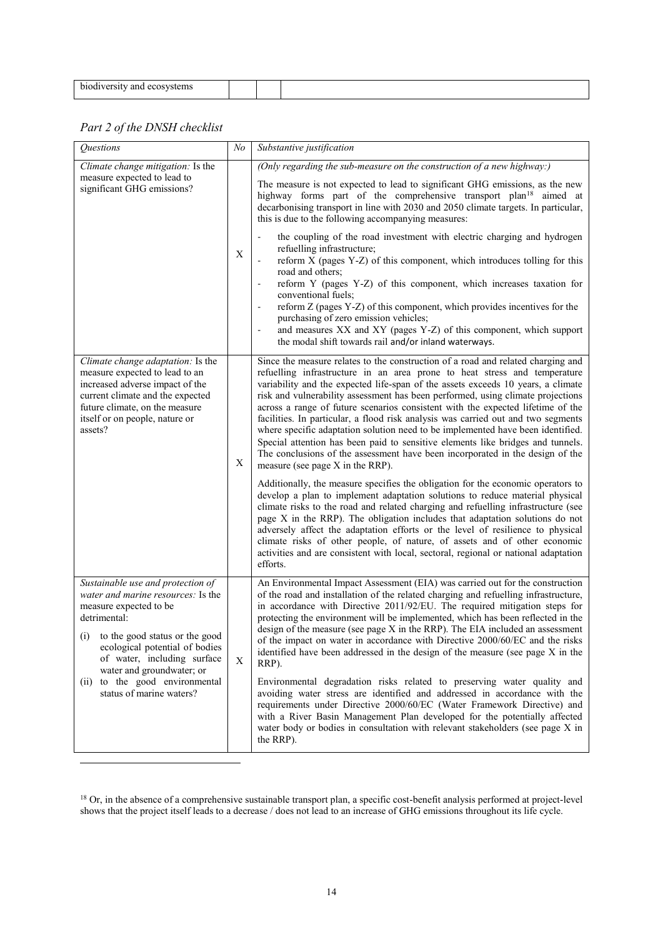| hiodiversity.<br>and ecosystems |  |  |
|---------------------------------|--|--|
| $\sim$ $\sim$                   |  |  |

| <b>Ouestions</b>                                                                                                                                                                                                                                                                                                    | $\sqrt{N}$  | Substantive justification                                                                                                                                                                                                                                                                                                                                                                                                                                                                                                                                                                                                                                                                                                                                                                                                                                                                                                                                                                                                                                                                                                                                                                                                                                                                                                                                                                                          |
|---------------------------------------------------------------------------------------------------------------------------------------------------------------------------------------------------------------------------------------------------------------------------------------------------------------------|-------------|--------------------------------------------------------------------------------------------------------------------------------------------------------------------------------------------------------------------------------------------------------------------------------------------------------------------------------------------------------------------------------------------------------------------------------------------------------------------------------------------------------------------------------------------------------------------------------------------------------------------------------------------------------------------------------------------------------------------------------------------------------------------------------------------------------------------------------------------------------------------------------------------------------------------------------------------------------------------------------------------------------------------------------------------------------------------------------------------------------------------------------------------------------------------------------------------------------------------------------------------------------------------------------------------------------------------------------------------------------------------------------------------------------------------|
| Climate change mitigation: Is the<br>measure expected to lead to<br>significant GHG emissions?                                                                                                                                                                                                                      | X           | (Only regarding the sub-measure on the construction of a new highway:)<br>The measure is not expected to lead to significant GHG emissions, as the new<br>highway forms part of the comprehensive transport plan <sup>18</sup> aimed at<br>decarbonising transport in line with 2030 and 2050 climate targets. In particular,<br>this is due to the following accompanying measures:<br>the coupling of the road investment with electric charging and hydrogen<br>refuelling infrastructure;<br>reform X (pages Y-Z) of this component, which introduces tolling for this<br>road and others;<br>reform Y (pages Y-Z) of this component, which increases taxation for<br>conventional fuels;<br>reform Z (pages Y-Z) of this component, which provides incentives for the<br>purchasing of zero emission vehicles;<br>and measures XX and XY (pages Y-Z) of this component, which support<br>the modal shift towards rail and/or inland waterways.                                                                                                                                                                                                                                                                                                                                                                                                                                                                |
| Climate change adaptation: Is the<br>measure expected to lead to an<br>increased adverse impact of the<br>current climate and the expected<br>future climate, on the measure<br>itself or on people, nature or<br>assets?                                                                                           | X           | Since the measure relates to the construction of a road and related charging and<br>refuelling infrastructure in an area prone to heat stress and temperature<br>variability and the expected life-span of the assets exceeds 10 years, a climate<br>risk and vulnerability assessment has been performed, using climate projections<br>across a range of future scenarios consistent with the expected lifetime of the<br>facilities. In particular, a flood risk analysis was carried out and two segments<br>where specific adaptation solution need to be implemented have been identified.<br>Special attention has been paid to sensitive elements like bridges and tunnels.<br>The conclusions of the assessment have been incorporated in the design of the<br>measure (see page X in the RRP).<br>Additionally, the measure specifies the obligation for the economic operators to<br>develop a plan to implement adaptation solutions to reduce material physical<br>climate risks to the road and related charging and refuelling infrastructure (see<br>page X in the RRP). The obligation includes that adaptation solutions do not<br>adversely affect the adaptation efforts or the level of resilience to physical<br>climate risks of other people, of nature, of assets and of other economic<br>activities and are consistent with local, sectoral, regional or national adaptation<br>efforts. |
| Sustainable use and protection of<br>water and marine resources: Is the<br>measure expected to be<br>detrimental:<br>(i) to the good status or the good<br>ecological potential of bodies<br>of water, including surface<br>water and groundwater; or<br>(ii) to the good environmental<br>status of marine waters? | $\mathbf X$ | An Environmental Impact Assessment (EIA) was carried out for the construction<br>of the road and installation of the related charging and refuelling infrastructure,<br>in accordance with Directive 2011/92/EU. The required mitigation steps for<br>protecting the environment will be implemented, which has been reflected in the<br>design of the measure (see page X in the RRP). The EIA included an assessment<br>of the impact on water in accordance with Directive 2000/60/EC and the risks<br>identified have been addressed in the design of the measure (see page X in the<br>RRP).<br>Environmental degradation risks related to preserving water quality and<br>avoiding water stress are identified and addressed in accordance with the<br>requirements under Directive 2000/60/EC (Water Framework Directive) and<br>with a River Basin Management Plan developed for the potentially affected<br>water body or bodies in consultation with relevant stakeholders (see page X in<br>the RRP).                                                                                                                                                                                                                                                                                                                                                                                                   |

<sup>&</sup>lt;sup>18</sup> Or, in the absence of a comprehensive sustainable transport plan, a specific cost-benefit analysis performed at project-level shows that the project itself leads to a decrease / does not lead to an increase of GHG emissions throughout its life cycle.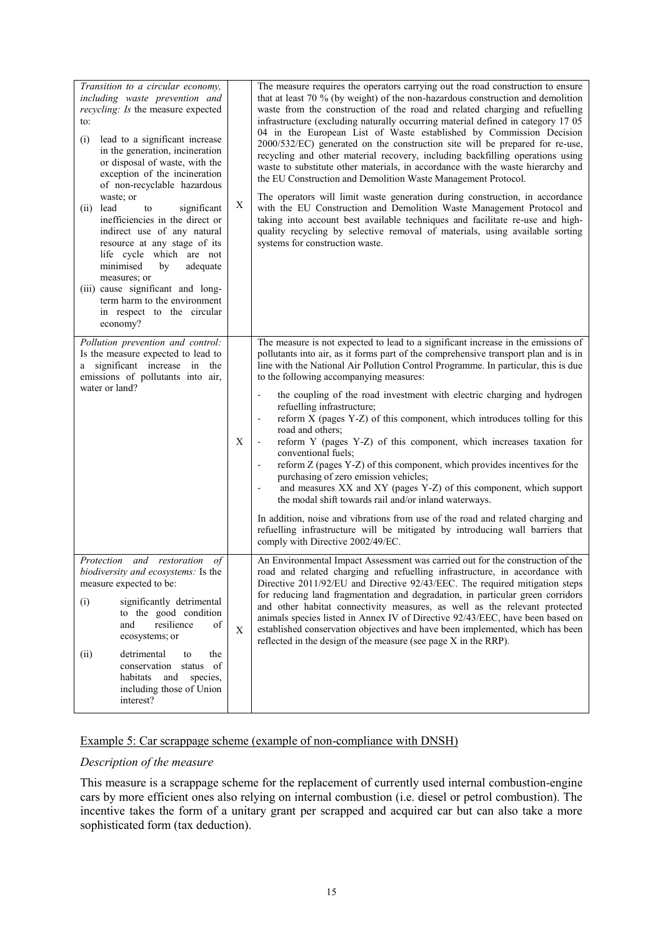| Transition to a circular economy,<br>including waste prevention and<br>recycling: Is the measure expected<br>to:<br>lead to a significant increase<br>(i)<br>in the generation, incineration<br>or disposal of waste, with the<br>exception of the incineration<br>of non-recyclable hazardous<br>waste; or<br>lead<br>significant<br>(ii)<br>to<br>inefficiencies in the direct or<br>indirect use of any natural<br>resource at any stage of its<br>life cycle which are not<br>minimised<br>adequate<br>by<br>measures; or<br>(iii) cause significant and long-<br>term harm to the environment<br>in respect to the circular<br>economy? | X | The measure requires the operators carrying out the road construction to ensure<br>that at least 70 % (by weight) of the non-hazardous construction and demolition<br>waste from the construction of the road and related charging and refuelling<br>infrastructure (excluding naturally occurring material defined in category 17 05<br>04 in the European List of Waste established by Commission Decision<br>2000/532/EC) generated on the construction site will be prepared for re-use,<br>recycling and other material recovery, including backfilling operations using<br>waste to substitute other materials, in accordance with the waste hierarchy and<br>the EU Construction and Demolition Waste Management Protocol.<br>The operators will limit waste generation during construction, in accordance<br>with the EU Construction and Demolition Waste Management Protocol and<br>taking into account best available techniques and facilitate re-use and high-<br>quality recycling by selective removal of materials, using available sorting<br>systems for construction waste. |
|----------------------------------------------------------------------------------------------------------------------------------------------------------------------------------------------------------------------------------------------------------------------------------------------------------------------------------------------------------------------------------------------------------------------------------------------------------------------------------------------------------------------------------------------------------------------------------------------------------------------------------------------|---|------------------------------------------------------------------------------------------------------------------------------------------------------------------------------------------------------------------------------------------------------------------------------------------------------------------------------------------------------------------------------------------------------------------------------------------------------------------------------------------------------------------------------------------------------------------------------------------------------------------------------------------------------------------------------------------------------------------------------------------------------------------------------------------------------------------------------------------------------------------------------------------------------------------------------------------------------------------------------------------------------------------------------------------------------------------------------------------------|
| Pollution prevention and control:<br>Is the measure expected to lead to<br>significant increase in the<br>a<br>emissions of pollutants into air,<br>water or land?                                                                                                                                                                                                                                                                                                                                                                                                                                                                           | X | The measure is not expected to lead to a significant increase in the emissions of<br>pollutants into air, as it forms part of the comprehensive transport plan and is in<br>line with the National Air Pollution Control Programme. In particular, this is due<br>to the following accompanying measures:<br>the coupling of the road investment with electric charging and hydrogen<br>refuelling infrastructure;<br>reform X (pages Y-Z) of this component, which introduces tolling for this<br>road and others;<br>reform Y (pages Y-Z) of this component, which increases taxation for<br>conventional fuels;<br>reform Z (pages Y-Z) of this component, which provides incentives for the<br>purchasing of zero emission vehicles;<br>and measures XX and XY (pages Y-Z) of this component, which support<br>the modal shift towards rail and/or inland waterways.<br>In addition, noise and vibrations from use of the road and related charging and<br>refuelling infrastructure will be mitigated by introducing wall barriers that<br>comply with Directive 2002/49/EC.              |
| Protection<br>and<br>restoration<br>οf<br>biodiversity and ecosystems: Is the<br>measure expected to be:<br>(i)<br>significantly detrimental<br>to the good condition<br>and<br>resilience<br>of<br>ecosystems; or<br>detrimental<br>(ii)<br>the<br>to<br>conservation<br>status<br>of<br>habitats<br>and<br>species,<br>including those of Union<br>interest?                                                                                                                                                                                                                                                                               | X | An Environmental Impact Assessment was carried out for the construction of the<br>road and related charging and refuelling infrastructure, in accordance with<br>Directive 2011/92/EU and Directive 92/43/EEC. The required mitigation steps<br>for reducing land fragmentation and degradation, in particular green corridors<br>and other habitat connectivity measures, as well as the relevant protected<br>animals species listed in Annex IV of Directive 92/43/EEC, have been based on<br>established conservation objectives and have been implemented, which has been<br>reflected in the design of the measure (see page X in the RRP).                                                                                                                                                                                                                                                                                                                                                                                                                                              |

## Example 5: Car scrappage scheme (example of non-compliance with DNSH)

## *Description of the measure*

This measure is a scrappage scheme for the replacement of currently used internal combustion-engine cars by more efficient ones also relying on internal combustion (i.e. diesel or petrol combustion). The incentive takes the form of a unitary grant per scrapped and acquired car but can also take a more sophisticated form (tax deduction).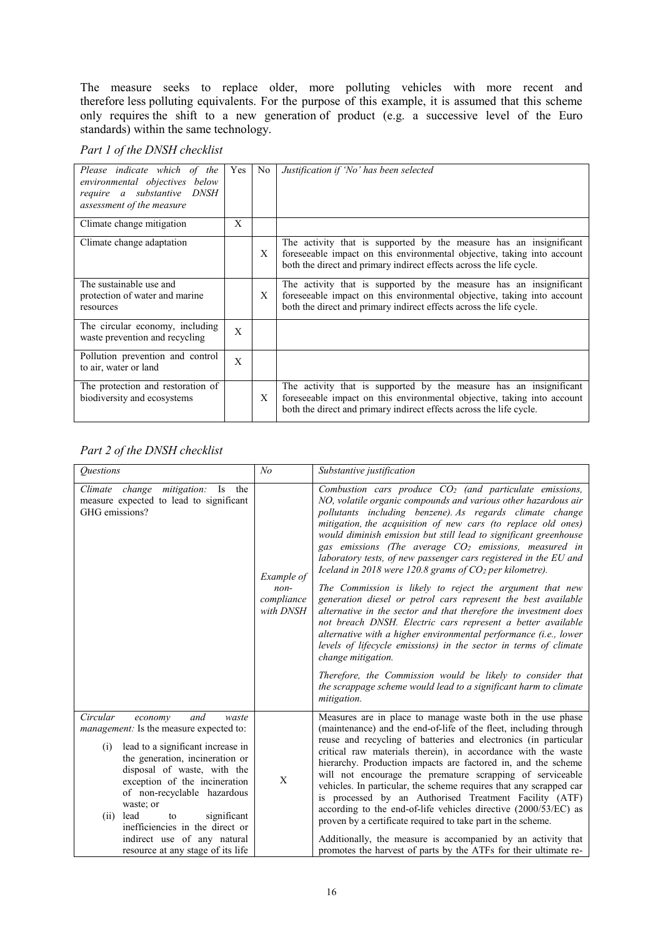The measure seeks to replace older, more polluting vehicles with more recent and therefore less polluting equivalents. For the purpose of this example, it is assumed that this scheme only requires the shift to a new generation of product  $(e.g., a)$  successive level of the Euro standards) within the same technology.

#### *Part 1 of the DNSH checklist*

| Please indicate which of the<br>environmental objectives below<br>require a substantive DNSH<br>assessment of the measure | Yes | No | Justification if 'No' has been selected                                                                                                                                                                              |
|---------------------------------------------------------------------------------------------------------------------------|-----|----|----------------------------------------------------------------------------------------------------------------------------------------------------------------------------------------------------------------------|
| Climate change mitigation                                                                                                 | X   |    |                                                                                                                                                                                                                      |
| Climate change adaptation                                                                                                 |     | X  | The activity that is supported by the measure has an insignificant<br>foreseeable impact on this environmental objective, taking into account<br>both the direct and primary indirect effects across the life cycle. |
| The sustainable use and<br>protection of water and marine<br>resources                                                    |     | X  | The activity that is supported by the measure has an insignificant<br>foreseeable impact on this environmental objective, taking into account<br>both the direct and primary indirect effects across the life cycle. |
| The circular economy, including<br>waste prevention and recycling                                                         | X   |    |                                                                                                                                                                                                                      |
| Pollution prevention and control<br>to air, water or land                                                                 | X   |    |                                                                                                                                                                                                                      |
| The protection and restoration of<br>biodiversity and ecosystems                                                          |     | X  | The activity that is supported by the measure has an insignificant<br>foreseeable impact on this environmental objective, taking into account<br>both the direct and primary indirect effects across the life cycle. |

| <i><u><b>Ouestions</b></u></i>                                                                                                                                                                                                                                                                                                                                                                                        | N <sub>o</sub>                                  | Substantive justification                                                                                                                                                                                                                                                                                                                                                                                                                                                                                                                                                                                                                                                                                                                                                                                                                                                                                                                                                                                                                                                                               |
|-----------------------------------------------------------------------------------------------------------------------------------------------------------------------------------------------------------------------------------------------------------------------------------------------------------------------------------------------------------------------------------------------------------------------|-------------------------------------------------|---------------------------------------------------------------------------------------------------------------------------------------------------------------------------------------------------------------------------------------------------------------------------------------------------------------------------------------------------------------------------------------------------------------------------------------------------------------------------------------------------------------------------------------------------------------------------------------------------------------------------------------------------------------------------------------------------------------------------------------------------------------------------------------------------------------------------------------------------------------------------------------------------------------------------------------------------------------------------------------------------------------------------------------------------------------------------------------------------------|
| Climate change mitigation: Is the<br>measure expected to lead to significant<br>GHG emissions?                                                                                                                                                                                                                                                                                                                        | Example of<br>$non-$<br>compliance<br>with DNSH | Combustion cars produce $CO2$ (and particulate emissions,<br>NO, volatile organic compounds and various other hazardous air<br>pollutants including benzene). As regards climate change<br>mitigation, the acquisition of new cars (to replace old ones)<br>would diminish emission but still lead to significant greenhouse<br>gas emissions (The average $CO2$ emissions, measured in<br>laboratory tests, of new passenger cars registered in the EU and<br>Iceland in 2018 were 120.8 grams of $CO2$ per kilometre).<br>The Commission is likely to reject the argument that new<br>generation diesel or petrol cars represent the best available<br>alternative in the sector and that therefore the investment does<br>not breach DNSH. Electric cars represent a better available<br>alternative with a higher environmental performance (i.e., lower<br>levels of lifecycle emissions) in the sector in terms of climate<br>change mitigation.<br>Therefore, the Commission would be likely to consider that<br>the scrappage scheme would lead to a significant harm to climate<br>mitigation. |
| Circular<br>and<br>economy<br>waste<br>management: Is the measure expected to:<br>lead to a significant increase in<br>(i)<br>the generation, incineration or<br>disposal of waste, with the<br>exception of the incineration<br>of non-recyclable hazardous<br>waste; or<br>lead<br>significant<br>(ii)<br>to<br>inefficiencies in the direct or<br>indirect use of any natural<br>resource at any stage of its life | X                                               | Measures are in place to manage waste both in the use phase<br>(maintenance) and the end-of-life of the fleet, including through<br>reuse and recycling of batteries and electronics (in particular<br>critical raw materials therein), in accordance with the waste<br>hierarchy. Production impacts are factored in, and the scheme<br>will not encourage the premature scrapping of serviceable<br>vehicles. In particular, the scheme requires that any scrapped car<br>is processed by an Authorised Treatment Facility (ATF)<br>according to the end-of-life vehicles directive (2000/53/EC) as<br>proven by a certificate required to take part in the scheme.<br>Additionally, the measure is accompanied by an activity that<br>promotes the harvest of parts by the ATFs for their ultimate re-                                                                                                                                                                                                                                                                                               |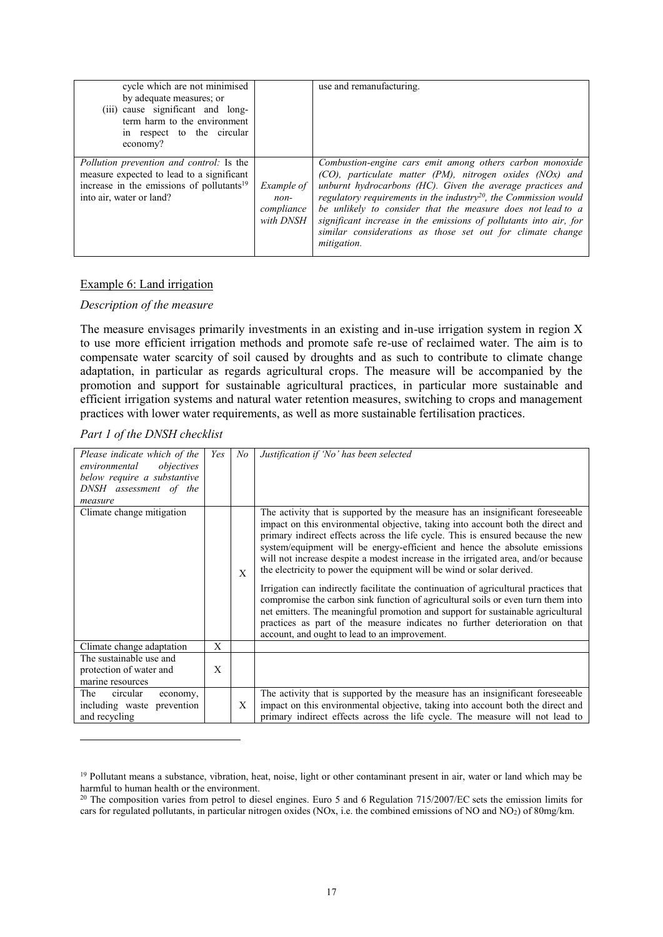| cycle which are not minimised<br>by adequate measures; or<br>(iii) cause significant and long-<br>term harm to the environment<br>in respect to the circular<br>economy?          |                                                 | use and remanufacturing.                                                                                                                                                                                                                                                                                                                                                                                                                                                               |
|-----------------------------------------------------------------------------------------------------------------------------------------------------------------------------------|-------------------------------------------------|----------------------------------------------------------------------------------------------------------------------------------------------------------------------------------------------------------------------------------------------------------------------------------------------------------------------------------------------------------------------------------------------------------------------------------------------------------------------------------------|
| <i>Pollution prevention and control:</i> Is the<br>measure expected to lead to a significant<br>increase in the emissions of pollutants <sup>19</sup><br>into air, water or land? | Example of<br>$non-$<br>compliance<br>with DNSH | Combustion-engine cars emit among others carbon monoxide<br>$(CO)$ , particulate matter (PM), nitrogen oxides (NOx) and<br>unburnt hydrocarbons (HC). Given the average practices and<br>regulatory requirements in the industry <sup>20</sup> , the Commission would<br>be unlikely to consider that the measure does not lead to a<br>significant increase in the emissions of pollutants into air, for<br>similar considerations as those set out for climate change<br>mitigation. |

#### Example 6: Land irrigation

#### *Description of the measure*

The measure envisages primarily investments in an existing and in-use irrigation system in region X to use more efficient irrigation methods and promote safe re-use of reclaimed water. The aim is to compensate water scarcity of soil caused by droughts and as such to contribute to climate change adaptation, in particular as regards agricultural crops. The measure will be accompanied by the promotion and support for sustainable agricultural practices, in particular more sustainable and efficient irrigation systems and natural water retention measures, switching to crops and management practices with lower water requirements, as well as more sustainable fertilisation practices.

#### *Part 1 of the DNSH checklist*

| Please indicate which of the<br>environmental<br>objectives<br>below require a substantive<br>DNSH assessment of the | Yes | No | Justification if 'No' has been selected                                                                                                                                                                                                                                                                                                                                                                                                                                                                                                                                                                                                                                                                                                                                                                                                                                                         |
|----------------------------------------------------------------------------------------------------------------------|-----|----|-------------------------------------------------------------------------------------------------------------------------------------------------------------------------------------------------------------------------------------------------------------------------------------------------------------------------------------------------------------------------------------------------------------------------------------------------------------------------------------------------------------------------------------------------------------------------------------------------------------------------------------------------------------------------------------------------------------------------------------------------------------------------------------------------------------------------------------------------------------------------------------------------|
| measure                                                                                                              |     |    |                                                                                                                                                                                                                                                                                                                                                                                                                                                                                                                                                                                                                                                                                                                                                                                                                                                                                                 |
| Climate change mitigation                                                                                            |     | X  | The activity that is supported by the measure has an insignificant foreseeable<br>impact on this environmental objective, taking into account both the direct and<br>primary indirect effects across the life cycle. This is ensured because the new<br>system/equipment will be energy-efficient and hence the absolute emissions<br>will not increase despite a modest increase in the irrigated area, and/or because<br>the electricity to power the equipment will be wind or solar derived.<br>Irrigation can indirectly facilitate the continuation of agricultural practices that<br>compromise the carbon sink function of agricultural soils or even turn them into<br>net emitters. The meaningful promotion and support for sustainable agricultural<br>practices as part of the measure indicates no further deterioration on that<br>account, and ought to lead to an improvement. |
| Climate change adaptation                                                                                            | X   |    |                                                                                                                                                                                                                                                                                                                                                                                                                                                                                                                                                                                                                                                                                                                                                                                                                                                                                                 |
| The sustainable use and<br>protection of water and<br>marine resources                                               | X   |    |                                                                                                                                                                                                                                                                                                                                                                                                                                                                                                                                                                                                                                                                                                                                                                                                                                                                                                 |
| circular<br>The<br>economy,<br>including waste prevention<br>and recycling                                           |     | X  | The activity that is supported by the measure has an insignificant foreseeable<br>impact on this environmental objective, taking into account both the direct and<br>primary indirect effects across the life cycle. The measure will not lead to                                                                                                                                                                                                                                                                                                                                                                                                                                                                                                                                                                                                                                               |

<sup>&</sup>lt;sup>19</sup> Pollutant means a substance, vibration, heat, noise, light or other contaminant present in air, water or land which may be harmful to human health or the environment.

 $^{20}$  The composition varies from petrol to diesel engines. Euro 5 and 6 [Regulation 715/2007/EC](https://eur-lex.europa.eu/eli/reg/2007/715/oj) sets the emission limits for cars for regulated pollutants, in particular nitrogen oxides (NOx, i.e. the combined emissions of NO and NO2) of 80mg/km.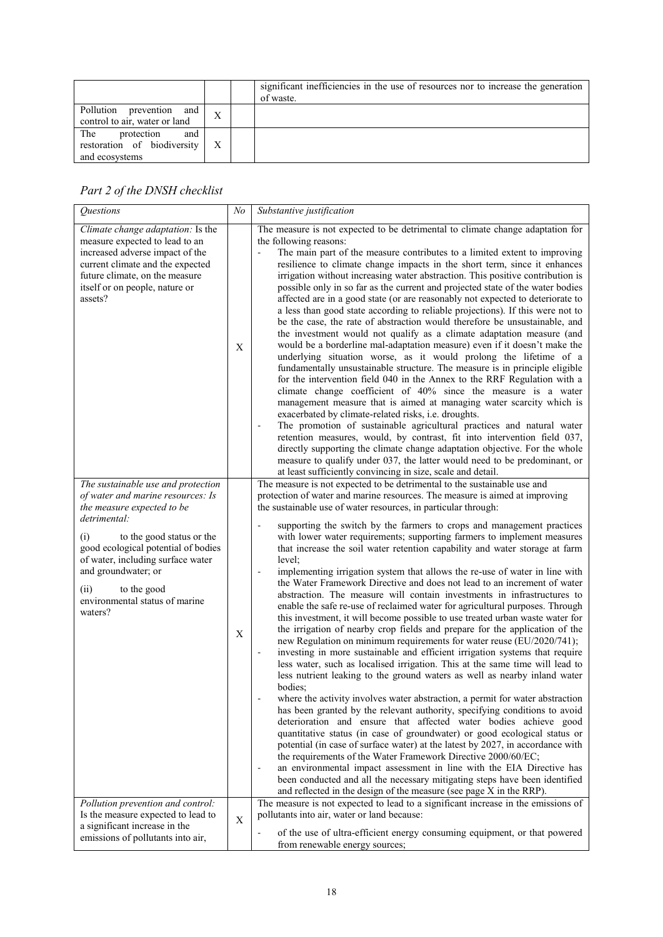|                                                                           |   | significant inefficiencies in the use of resources nor to increase the generation<br>of waste. |
|---------------------------------------------------------------------------|---|------------------------------------------------------------------------------------------------|
| Pollution prevention and<br>control to air, water or land                 | X |                                                                                                |
| The<br>protection<br>and<br>restoration of biodiversity<br>and ecosystems |   |                                                                                                |

| Questions                                                                                                                                                                                                                                                                                                                        | N <sub>o</sub> | Substantive justification                                                                                                                                                                                                                                                                                                                                                                                                                                                                                                                                                                                                                                                                                                                                                                                                                                                                                                                                                                                                                                                                                                                                                                                                                                                                                                                                                                                                                                                                                                                                                                                                                                                                                                                                                                                                                                                                                                                                                                                                                    |
|----------------------------------------------------------------------------------------------------------------------------------------------------------------------------------------------------------------------------------------------------------------------------------------------------------------------------------|----------------|----------------------------------------------------------------------------------------------------------------------------------------------------------------------------------------------------------------------------------------------------------------------------------------------------------------------------------------------------------------------------------------------------------------------------------------------------------------------------------------------------------------------------------------------------------------------------------------------------------------------------------------------------------------------------------------------------------------------------------------------------------------------------------------------------------------------------------------------------------------------------------------------------------------------------------------------------------------------------------------------------------------------------------------------------------------------------------------------------------------------------------------------------------------------------------------------------------------------------------------------------------------------------------------------------------------------------------------------------------------------------------------------------------------------------------------------------------------------------------------------------------------------------------------------------------------------------------------------------------------------------------------------------------------------------------------------------------------------------------------------------------------------------------------------------------------------------------------------------------------------------------------------------------------------------------------------------------------------------------------------------------------------------------------------|
| Climate change adaptation: Is the<br>measure expected to lead to an<br>increased adverse impact of the<br>current climate and the expected<br>future climate, on the measure<br>itself or on people, nature or<br>assets?                                                                                                        | Χ              | The measure is not expected to be detrimental to climate change adaptation for<br>the following reasons:<br>The main part of the measure contributes to a limited extent to improving<br>÷,<br>resilience to climate change impacts in the short term, since it enhances<br>irrigation without increasing water abstraction. This positive contribution is<br>possible only in so far as the current and projected state of the water bodies<br>affected are in a good state (or are reasonably not expected to deteriorate to<br>a less than good state according to reliable projections). If this were not to<br>be the case, the rate of abstraction would therefore be unsustainable, and<br>the investment would not qualify as a climate adaptation measure (and<br>would be a borderline mal-adaptation measure) even if it doesn't make the<br>underlying situation worse, as it would prolong the lifetime of a<br>fundamentally unsustainable structure. The measure is in principle eligible<br>for the intervention field 040 in the Annex to the RRF Regulation with a<br>climate change coefficient of 40% since the measure is a water<br>management measure that is aimed at managing water scarcity which is<br>exacerbated by climate-related risks, i.e. droughts.<br>The promotion of sustainable agricultural practices and natural water<br>$\overline{\phantom{a}}$<br>retention measures, would, by contrast, fit into intervention field 037,<br>directly supporting the climate change adaptation objective. For the whole<br>measure to qualify under 037, the latter would need to be predominant, or<br>at least sufficiently convincing in size, scale and detail.                                                                                                                                                                                                                                                                                                                                            |
| The sustainable use and protection<br>of water and marine resources: Is<br>the measure expected to be<br>detrimental:<br>(i)<br>to the good status or the<br>good ecological potential of bodies<br>of water, including surface water<br>and groundwater; or<br>(ii)<br>to the good<br>environmental status of marine<br>waters? | $\mathbf X$    | The measure is not expected to be detrimental to the sustainable use and<br>protection of water and marine resources. The measure is aimed at improving<br>the sustainable use of water resources, in particular through:<br>supporting the switch by the farmers to crops and management practices<br>$\overline{\phantom{a}}$<br>with lower water requirements; supporting farmers to implement measures<br>that increase the soil water retention capability and water storage at farm<br>level;<br>implementing irrigation system that allows the re-use of water in line with<br>$\blacksquare$<br>the Water Framework Directive and does not lead to an increment of water<br>abstraction. The measure will contain investments in infrastructures to<br>enable the safe re-use of reclaimed water for agricultural purposes. Through<br>this investment, it will become possible to use treated urban waste water for<br>the irrigation of nearby crop fields and prepare for the application of the<br>new Regulation on minimum requirements for water reuse (EU/2020/741);<br>investing in more sustainable and efficient irrigation systems that require<br>less water, such as localised irrigation. This at the same time will lead to<br>less nutrient leaking to the ground waters as well as nearby inland water<br>bodies;<br>where the activity involves water abstraction, a permit for water abstraction<br>has been granted by the relevant authority, specifying conditions to avoid<br>deterioration and ensure that affected water bodies achieve good<br>quantitative status (in case of groundwater) or good ecological status or<br>potential (in case of surface water) at the latest by 2027, in accordance with<br>the requirements of the Water Framework Directive 2000/60/EC;<br>an environmental impact assessment in line with the EIA Directive has<br>been conducted and all the necessary mitigating steps have been identified<br>and reflected in the design of the measure (see page X in the RRP). |
| Pollution prevention and control:<br>Is the measure expected to lead to<br>a significant increase in the<br>emissions of pollutants into air,                                                                                                                                                                                    | X              | The measure is not expected to lead to a significant increase in the emissions of<br>pollutants into air, water or land because:<br>of the use of ultra-efficient energy consuming equipment, or that powered<br>from renewable energy sources;                                                                                                                                                                                                                                                                                                                                                                                                                                                                                                                                                                                                                                                                                                                                                                                                                                                                                                                                                                                                                                                                                                                                                                                                                                                                                                                                                                                                                                                                                                                                                                                                                                                                                                                                                                                              |